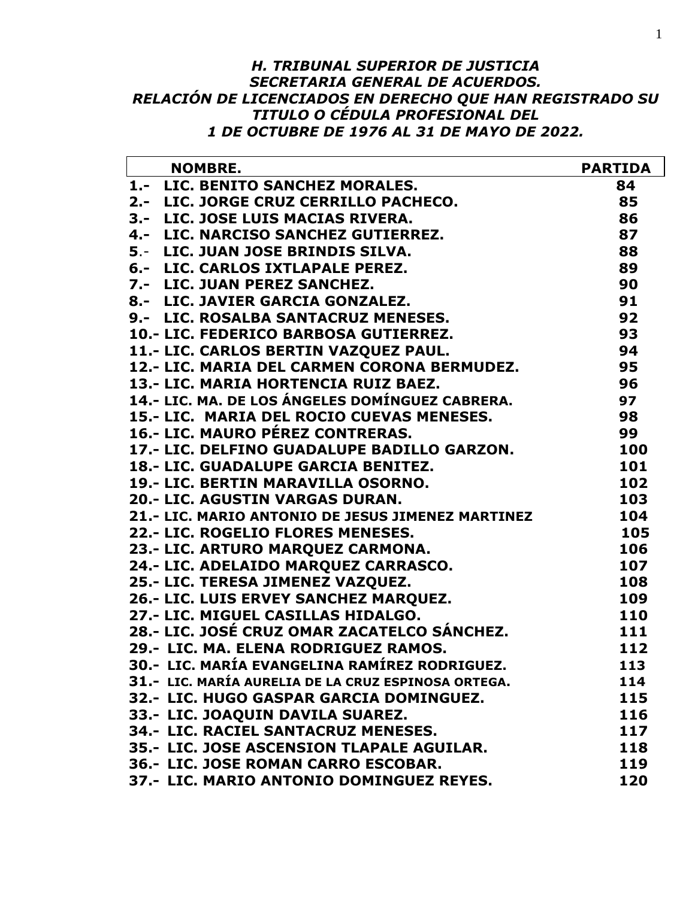#### *H. TRIBUNAL SUPERIOR DE JUSTICIA SECRETARIA GENERAL DE ACUERDOS. RELACIÓN DE LICENCIADOS EN DERECHO QUE HAN REGISTRADO SU TITULO O CÉDULA PROFESIONAL DEL 1 DE OCTUBRE DE 1976 AL 31 DE MAYO DE 2022.*

| <b>NOMBRE.</b>                                      | <b>PARTIDA</b> |
|-----------------------------------------------------|----------------|
| 1.- LIC. BENITO SANCHEZ MORALES.                    | 84             |
| 2.- LIC. JORGE CRUZ CERRILLO PACHECO.               | 85             |
| 3.- LIC. JOSE LUIS MACIAS RIVERA.                   | 86             |
| 4.- LIC. NARCISO SANCHEZ GUTIERREZ.                 | 87             |
| 5.- LIC. JUAN JOSE BRINDIS SILVA.                   | 88             |
| 6.- LIC. CARLOS IXTLAPALE PEREZ.                    | 89             |
| 7.- LIC. JUAN PEREZ SANCHEZ.                        | 90             |
| 8.- LIC. JAVIER GARCIA GONZALEZ.                    | 91             |
| 9.- LIC. ROSALBA SANTACRUZ MENESES.                 | 92             |
| 10.- LIC. FEDERICO BARBOSA GUTIERREZ.               | 93             |
| 11.- LIC. CARLOS BERTIN VAZQUEZ PAUL.               | 94             |
| 12.- LIC. MARIA DEL CARMEN CORONA BERMUDEZ.         | 95             |
| 13.- LIC. MARIA HORTENCIA RUIZ BAEZ.                | 96             |
| 14.- LIC. MA. DE LOS ÁNGELES DOMÍNGUEZ CABRERA.     | 97             |
| 15.- LIC. MARIA DEL ROCIO CUEVAS MENESES.           | 98             |
| 16.- LIC. MAURO PÉREZ CONTRERAS.                    | 99             |
| 17.- LIC. DELFINO GUADALUPE BADILLO GARZON.         | 100            |
| 18.- LIC. GUADALUPE GARCIA BENITEZ.                 | 101            |
| 19.- LIC. BERTIN MARAVILLA OSORNO.                  | 102            |
| 20.- LIC. AGUSTIN VARGAS DURAN.                     | 103            |
| 21.- LIC. MARIO ANTONIO DE JESUS JIMENEZ MARTINEZ   | 104            |
| 22.- LIC. ROGELIO FLORES MENESES.                   | 105            |
| 23.- LIC. ARTURO MARQUEZ CARMONA.                   | 106            |
| 24.- LIC. ADELAIDO MARQUEZ CARRASCO.                | 107            |
| 25.- LIC. TERESA JIMENEZ VAZQUEZ.                   | 108            |
| 26.- LIC. LUIS ERVEY SANCHEZ MARQUEZ.               | 109            |
| 27.- LIC. MIGUEL CASILLAS HIDALGO.                  | 110            |
| 28.- LIC. JOSÉ CRUZ OMAR ZACATELCO SÁNCHEZ.         | 111            |
| 29.- LIC. MA. ELENA RODRIGUEZ RAMOS.                | 112            |
| 30.- LIC. MARÍA EVANGELINA RAMÍREZ RODRIGUEZ.       | 113            |
| 31.- LIC. MARÍA AURELIA DE LA CRUZ ESPINOSA ORTEGA. | 114            |
| 32.- LIC. HUGO GASPAR GARCIA DOMINGUEZ.             | 115            |
| 33.- LIC. JOAQUIN DAVILA SUAREZ.                    | 116            |
| 34.- LIC. RACIEL SANTACRUZ MENESES.                 | 117            |
| 35.- LIC. JOSE ASCENSION TLAPALE AGUILAR.           | 118            |
| 36.- LIC. JOSE ROMAN CARRO ESCOBAR.                 | 119            |
| 37.- LIC. MARIO ANTONIO DOMINGUEZ REYES.            | 120            |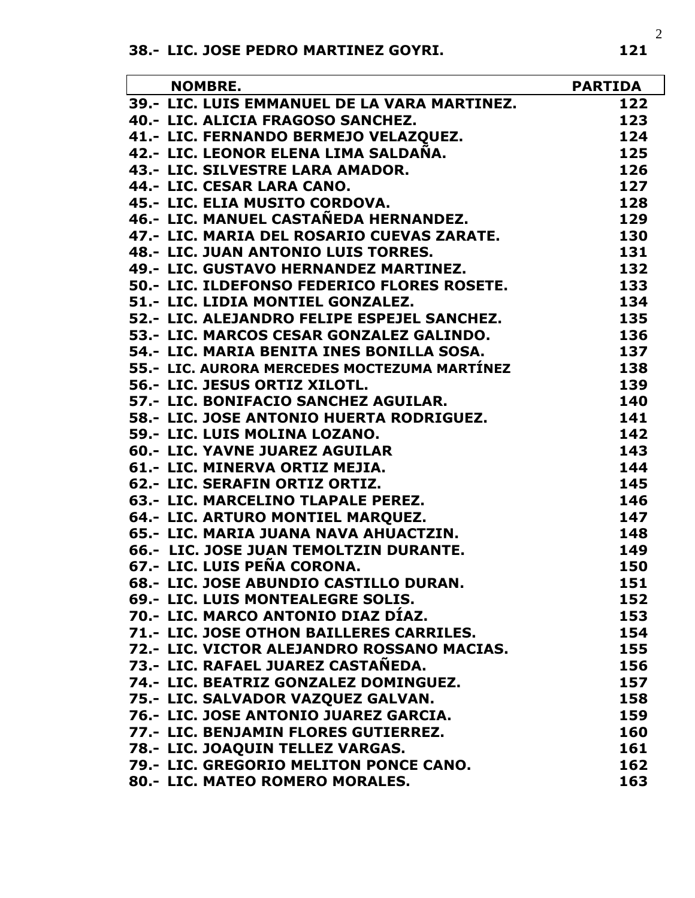| <b>NOMBRE.</b>                               | <b>PARTIDA</b> |
|----------------------------------------------|----------------|
| 39.- LIC. LUIS EMMANUEL DE LA VARA MARTINEZ. | 122            |
| 40.- LIC. ALICIA FRAGOSO SANCHEZ.            | 123            |
| 41.- LIC. FERNANDO BERMEJO VELAZQUEZ.        | 124            |
| 42.- LIC. LEONOR ELENA LIMA SALDAÑA.         | 125            |
| 43.- LIC. SILVESTRE LARA AMADOR.             | 126            |
| 44.- LIC. CESAR LARA CANO.                   | 127            |
| 45.- LIC. ELIA MUSITO CORDOVA.               | 128            |
| 46.- LIC. MANUEL CASTAÑEDA HERNANDEZ.        | 129            |
| 47.- LIC. MARIA DEL ROSARIO CUEVAS ZARATE.   | 130            |
| 48.- LIC. JUAN ANTONIO LUIS TORRES.          | 131            |
| 49.- LIC. GUSTAVO HERNANDEZ MARTINEZ.        | 132            |
| 50.- LIC. ILDEFONSO FEDERICO FLORES ROSETE.  | 133            |
| 51.- LIC. LIDIA MONTIEL GONZALEZ.            | 134            |
| 52.- LIC. ALEJANDRO FELIPE ESPEJEL SANCHEZ.  | 135            |
| 53.- LIC. MARCOS CESAR GONZALEZ GALINDO.     | 136            |
| 54.- LIC. MARIA BENITA INES BONILLA SOSA.    | 137            |
| 55.- LIC. AURORA MERCEDES MOCTEZUMA MARTÍNEZ | 138            |
| 56.- LIC. JESUS ORTIZ XILOTL.                | 139            |
| 57.- LIC. BONIFACIO SANCHEZ AGUILAR.         | 140            |
| 58.- LIC. JOSE ANTONIO HUERTA RODRIGUEZ.     | 141            |
| 59.- LIC. LUIS MOLINA LOZANO.                | 142            |
| 60.- LIC. YAVNE JUAREZ AGUILAR               | 143            |
| 61.- LIC. MINERVA ORTIZ MEJIA.               | 144            |
| 62.- LIC. SERAFIN ORTIZ ORTIZ.               | 145            |
| 63.- LIC. MARCELINO TLAPALE PEREZ.           | 146            |
| 64.- LIC. ARTURO MONTIEL MARQUEZ.            | 147            |
| 65.- LIC. MARIA JUANA NAVA AHUACTZIN.        | 148            |
| 66.- LIC. JOSE JUAN TEMOLTZIN DURANTE.       | 149            |
| 67.- LIC. LUIS PEÑA CORONA.                  | 150            |
| 68.- LIC. JOSE ABUNDIO CASTILLO DURAN.       | 151            |
| 69.- LIC. LUIS MONTEALEGRE SOLIS.            | 152            |
| 70.- LIC. MARCO ANTONIO DIAZ DÍAZ.           | 153            |
| 71.- LIC. JOSE OTHON BAILLERES CARRILES.     | 154            |
| 72.- LIC. VICTOR ALEJANDRO ROSSANO MACIAS.   | 155            |
| 73.- LIC. RAFAEL JUAREZ CASTAÑEDA.           | 156            |
| 74.- LIC. BEATRIZ GONZALEZ DOMINGUEZ.        | 157            |
| 75.- LIC. SALVADOR VAZQUEZ GALVAN.           | 158            |
| 76.- LIC. JOSE ANTONIO JUAREZ GARCIA.        | 159            |
| 77.- LIC. BENJAMIN FLORES GUTIERREZ.         | 160            |
| 78.- LIC. JOAQUIN TELLEZ VARGAS.             | 161            |
| 79.- LIC. GREGORIO MELITON PONCE CANO.       | 162            |
| 80.- LIC. MATEO ROMERO MORALES.              | 163            |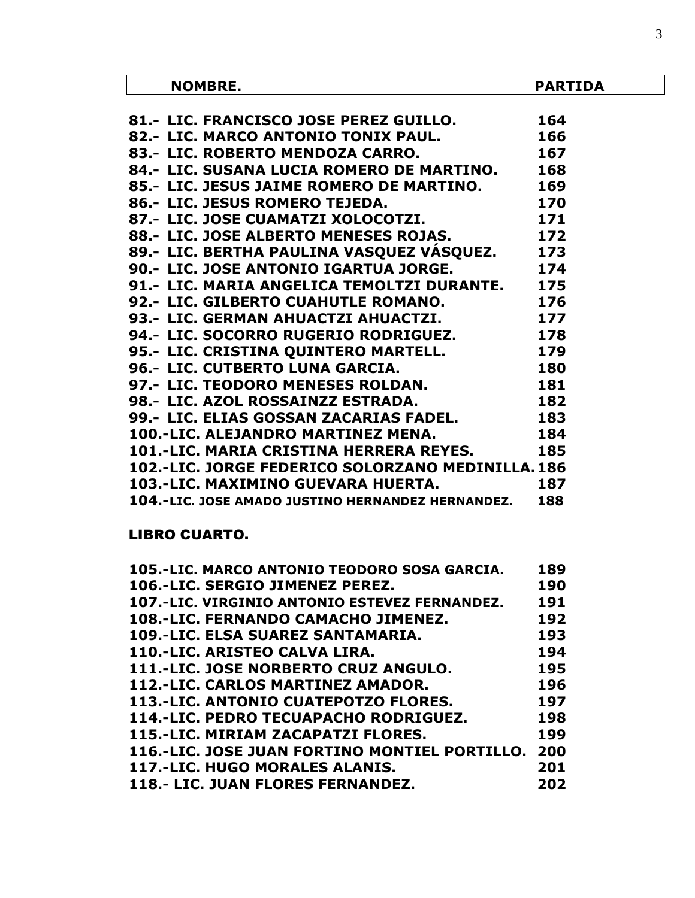| <b>NOMBRE.</b>                                    | <b>PARTIDA</b> |
|---------------------------------------------------|----------------|
|                                                   |                |
| 81.- LIC. FRANCISCO JOSE PEREZ GUILLO.            | 164            |
| 82.- LIC. MARCO ANTONIO TONIX PAUL.               | 166            |
| 83.- LIC. ROBERTO MENDOZA CARRO.                  | 167            |
| 84.- LIC. SUSANA LUCIA ROMERO DE MARTINO. 168     |                |
| 85.- LIC. JESUS JAIME ROMERO DE MARTINO.          | 169            |
| 86.- LIC. JESUS ROMERO TEJEDA.                    | 170            |
| 171<br>87.- LIC. JOSE CUAMATZI XOLOCOTZI.         |                |
| 88.- LIC. JOSE ALBERTO MENESES ROJAS.             | 172            |
| 89.- LIC. BERTHA PAULINA VASQUEZ VÁSQUEZ.         | 173            |
| 90.- LIC. JOSE ANTONIO IGARTUA JORGE.             | 174            |
| 91.- LIC. MARIA ANGELICA TEMOLTZI DURANTE.        | 175            |
| 92.- LIC. GILBERTO CUAHUTLE ROMANO.               | 176            |
| 177<br>93.- LIC. GERMAN AHUACTZI AHUACTZI.        |                |
| 94.- LIC. SOCORRO RUGERIO RODRIGUEZ. 178          |                |
| 95.- LIC. CRISTINA QUINTERO MARTELL. 179          |                |
| 180<br>96.- LIC. CUTBERTO LUNA GARCIA.            |                |
| 181<br>97.- LIC. TEODORO MENESES ROLDAN.          |                |
| 182<br>98.- LIC. AZOL ROSSAINZZ ESTRADA.          |                |
| 99.- LIC. ELIAS GOSSAN ZACARIAS FADEL.<br>183     |                |
| 100.-LIC. ALEJANDRO MARTINEZ MENA.<br>184         |                |
| 101.-LIC. MARIA CRISTINA HERRERA REYES.           | 185            |
| 102.-LIC. JORGE FEDERICO SOLORZANO MEDINILLA. 186 |                |
| 103.-LIC. MAXIMINO GUEVARA HUERTA.                | 187            |
| 104.-LIC. JOSE AMADO JUSTINO HERNANDEZ HERNANDEZ. | 188            |

## LIBRO CUARTO.

| 105.-LIC. MARCO ANTONIO TEODORO SOSA GARCIA.  | 189 |
|-----------------------------------------------|-----|
| 106.-LIC. SERGIO JIMENEZ PEREZ.               | 190 |
| 107.-LIC. VIRGINIO ANTONIO ESTEVEZ FERNANDEZ. | 191 |
| 108.-LIC. FERNANDO CAMACHO JIMENEZ.           | 192 |
| 109.-LIC. ELSA SUAREZ SANTAMARIA.             | 193 |
| 110.-LIC. ARISTEO CALVA LIRA.                 | 194 |
| 111.-LIC. JOSE NORBERTO CRUZ ANGULO.          | 195 |
| 112.-LIC. CARLOS MARTINEZ AMADOR.             | 196 |
| <b>113.-LIC. ANTONIO CUATEPOTZO FLORES.</b>   | 197 |
| 114.-LIC. PEDRO TECUAPACHO RODRIGUEZ.         | 198 |
| 115.-LIC. MIRIAM ZACAPATZI FLORES.            | 199 |
| 116.-LIC. JOSE JUAN FORTINO MONTIEL PORTILLO. | 200 |
| 117.-LIC. HUGO MORALES ALANIS.                | 201 |
| <b>118.- LIC. JUAN FLORES FERNANDEZ.</b>      | 202 |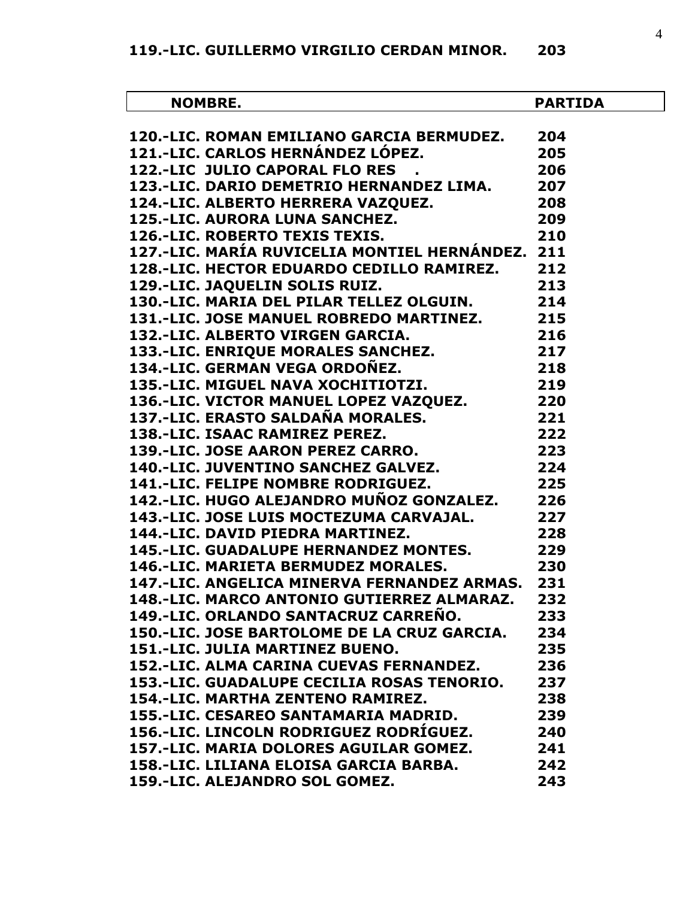| <b>NOMBRE.</b>                                                                                         | <b>PARTIDA</b>  |
|--------------------------------------------------------------------------------------------------------|-----------------|
| 120.-LIC. ROMAN EMILIANO GARCIA BERMUDEZ.                                                              | 204             |
| 121.-LIC. CARLOS HERNÁNDEZ LÓPEZ.                                                                      | 205             |
| <b>122.-LIC JULIO CAPORAL FLO RES</b>                                                                  | 206             |
| 123.-LIC. DARIO DEMETRIO HERNANDEZ LIMA.                                                               | 207             |
|                                                                                                        | 208             |
|                                                                                                        | 209             |
| 124.-LIC. ALBERTO HERRERA VAZQUEZ.<br>125.-LIC. AURORA LUNA SANCHEZ.<br>126.-LIC. ROBERTO TEXIS TEXIS. | 210             |
| 127.-LIC. MARÍA RUVICELIA MONTIEL HERNÁNDEZ. 211                                                       |                 |
| 128.-LIC. HECTOR EDUARDO CEDILLO RAMIREZ.                                                              | 212             |
| 129.-LIC. JAQUELIN SOLIS RUIZ.                                                                         | 213             |
| 130.-LIC. MARIA DEL PILAR TELLEZ OLGUIN.                                                               | 214             |
| 131.-LIC. JOSE MANUEL ROBREDO MARTINEZ. 215                                                            |                 |
| 132.-LIC. ALBERTO VIRGEN GARCIA.                                                                       |                 |
| 216<br>217<br>218<br><b>133.-LIC. ENRIQUE MORALES SANCHEZ.</b>                                         |                 |
| 134.-LIC. GERMAN VEGA ORDOÑEZ.                                                                         |                 |
| 135.-LIC. MIGUEL NAVA XOCHITIOTZI.                                                                     | $\frac{1}{219}$ |
| 136.-LIC. VICTOR MANUEL LOPEZ VAZQUEZ. 220<br>137.-LIC. ERASTO SALDAÑA MORALES. 221                    |                 |
|                                                                                                        |                 |
| 138.-LIC. ISAAC RAMIREZ PEREZ.                                                                         |                 |
| 222<br>223                                                                                             |                 |
| 139.-LIC. JOSE AARON PEREZ CARRO.<br>140.-LIC. JUVENTINO SANCHEZ GALVEZ.                               | 224             |
| 141.-LIC. FELIPE NOMBRE RODRIGUEZ.                                                                     | 225             |
| 142.-LIC. HUGO ALEJANDRO MUÑOZ GONZALEZ. 226                                                           |                 |
| 143.-LIC. JOSE LUIS MOCTEZUMA CARVAJAL.<br>$\overline{\text{227}}$                                     |                 |
| 144.-LIC. DAVID PIEDRA MARTINEZ.                                                                       | 228             |
| <b>145.-LIC. GUADALUPE HERNANDEZ MONTES.</b>                                                           | 229             |
| <b>146.-LIC. MARIETA BERMUDEZ MORALES.</b>                                                             | 230             |
| 147.-LIC. ANGELICA MINERVA FERNANDEZ ARMAS.                                                            | 231             |
| 148.-LIC. MARCO ANTONIO GUTIERREZ ALMARAZ.                                                             | 232             |
| 149.-LIC. ORLANDO SANTACRUZ CARREÑO.                                                                   | 233             |
| 150.-LIC. JOSE BARTOLOME DE LA CRUZ GARCIA.                                                            | 234             |
| <b>151.-LIC. JULIA MARTINEZ BUENO.</b>                                                                 | 235             |
| 152.-LIC. ALMA CARINA CUEVAS FERNANDEZ.                                                                | 236             |
| 153.-LIC. GUADALUPE CECILIA ROSAS TENORIO.                                                             | 237             |
| 154.-LIC. MARTHA ZENTENO RAMIREZ.                                                                      | 238             |
| 155.-LIC. CESAREO SANTAMARIA MADRID.                                                                   | 239             |
| 156.-LIC. LINCOLN RODRIGUEZ RODRÍGUEZ.                                                                 | 240             |
| 157.-LIC. MARIA DOLORES AGUILAR GOMEZ.                                                                 | 241             |
| 158.-LIC. LILIANA ELOISA GARCIA BARBA.                                                                 | 242             |
| 159.-LIC. ALEJANDRO SOL GOMEZ.                                                                         | 243             |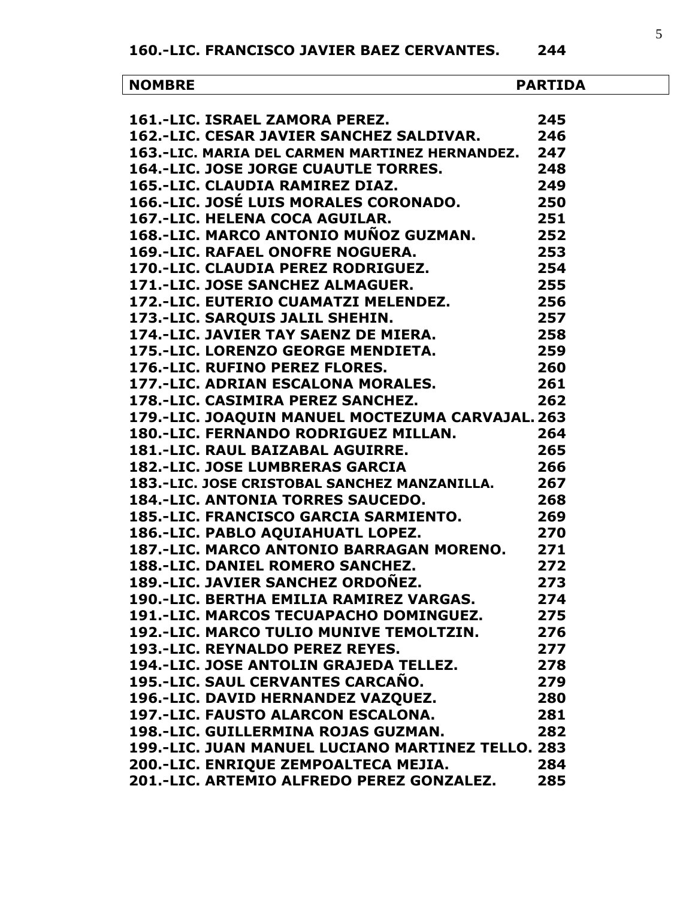**160.-LIC. FRANCISCO JAVIER BAEZ CERVANTES. 244**

| <b>NOMBRE</b>                                                                                                           | <b>PARTIDA</b> |
|-------------------------------------------------------------------------------------------------------------------------|----------------|
|                                                                                                                         |                |
| 161.-LIC. ISRAEL ZAMORA PEREZ.                                                                                          | 245            |
| 162.-LIC. CESAR JAVIER SANCHEZ SALDIVAR.                                                                                | 246            |
| 163.-LIC. MARIA DEL CARMEN MARTINEZ HERNANDEZ. 247                                                                      |                |
| <b>164.-LIC. JOSE JORGE CUAUTLE TORRES.</b>                                                                             | 248            |
| 165.-LIC. CLAUDIA RAMIREZ DIAZ.                                                                                         | 249            |
| 165.-LIC. CLAUDIA RAMIREZ DIAZ.<br>166.-LIC. JOSÉ LUIS MORALES CORONADO.                                                | 250            |
| 167.-LIC. HELENA COCA AGUILAR.                                                                                          | 251            |
| 168.-LIC. MARCO ANTONIO MUÑOZ GUZMAN. 252                                                                               |                |
| <b>169.-LIC. RAFAEL ONOFRE NOGUERA.</b>                                                                                 | 253            |
| 170.-LIC. CLAUDIA PEREZ RODRIGUEZ.                                                                                      | 254            |
| 170. LIC. CERCULA I LINE INSURFECT.<br>171.-LIC. JOSE SANCHEZ ALMAGUER. 255<br>172.-LIC. EUTERIO CUAMATZI MELENDEZ. 256 |                |
|                                                                                                                         |                |
| 173.-LIC. SARQUIS JALIL SHEHIN.                                                                                         | 257            |
| 173.-LIC. SARQUIS JALIL SHEHIN.<br>174.-LIC. JAVIER TAY SAENZ DE MIERA.                                                 | 258            |
| 175.-LIC. LORENZO GEORGE MENDIETA.                                                                                      | 259            |
| 176.-LIC. RUFINO PEREZ FLORES.                                                                                          | 260            |
| 177.-LIC. ADRIAN ESCALONA MORALES.<br>$\sim$ 261                                                                        |                |
| 178.-LIC. CASIMIRA PEREZ SANCHEZ.                                                                                       | 262            |
| 179.-LIC. JOAQUIN MANUEL MOCTEZUMA CARVAJAL. 263                                                                        |                |
| 180.-LIC. FERNANDO RODRIGUEZ MILLAN.<br>181.-I TC. RAUL BAIZABAL AGUIRRE.                                               | 264            |
|                                                                                                                         | 265            |
| <b>182.-LIC. JOSE LUMBRERAS GARCIA</b>                                                                                  | 266            |
| 183.-LIC. JOSE CRISTOBAL SANCHEZ MANZANILLA.                                                                            | 267            |
| <b>184.-LIC. ANTONIA TORRES SAUCEDO.</b>                                                                                | 268            |
| <b>185.-LIC. FRANCISCO GARCIA SARMIENTO.</b>                                                                            | 269            |
| 186.-LIC. PABLO AQUIAHUATL LOPEZ.                                                                                       | 270            |
| 187.-LIC. MARCO ANTONIO BARRAGAN MORENO.                                                                                | 271            |
| <b>188.-LIC. DANIEL ROMERO SANCHEZ.</b>                                                                                 | 272            |
| 189.-LIC. JAVIER SANCHEZ ORDOÑEZ.                                                                                       | 273            |
| 190.-LIC. BERTHA EMILIA RAMIREZ VARGAS.                                                                                 | 274            |
| 191.-LIC. MARCOS TECUAPACHO DOMINGUEZ.                                                                                  | 275            |
| <b>192.-LIC. MARCO TULIO MUNIVE TEMOLTZIN.</b>                                                                          | 276            |
| 193.-LIC. REYNALDO PEREZ REYES.                                                                                         | 277            |
| 194.-LIC. JOSE ANTOLIN GRAJEDA TELLEZ.                                                                                  | 278            |
| 195.-LIC. SAUL CERVANTES CARCAÑO.                                                                                       | 279            |
| 196.-LIC. DAVID HERNANDEZ VAZQUEZ.                                                                                      | 280            |
| 197.-LIC. FAUSTO ALARCON ESCALONA.                                                                                      | 281            |
| 198.-LIC. GUILLERMINA ROJAS GUZMAN.                                                                                     | 282            |
| 199.-LIC. JUAN MANUEL LUCIANO MARTINEZ TELLO. 283                                                                       |                |
| 200.-LIC. ENRIQUE ZEMPOALTECA MEJIA.                                                                                    | 284            |
| 201.-LIC. ARTEMIO ALFREDO PEREZ GONZALEZ.                                                                               | 285            |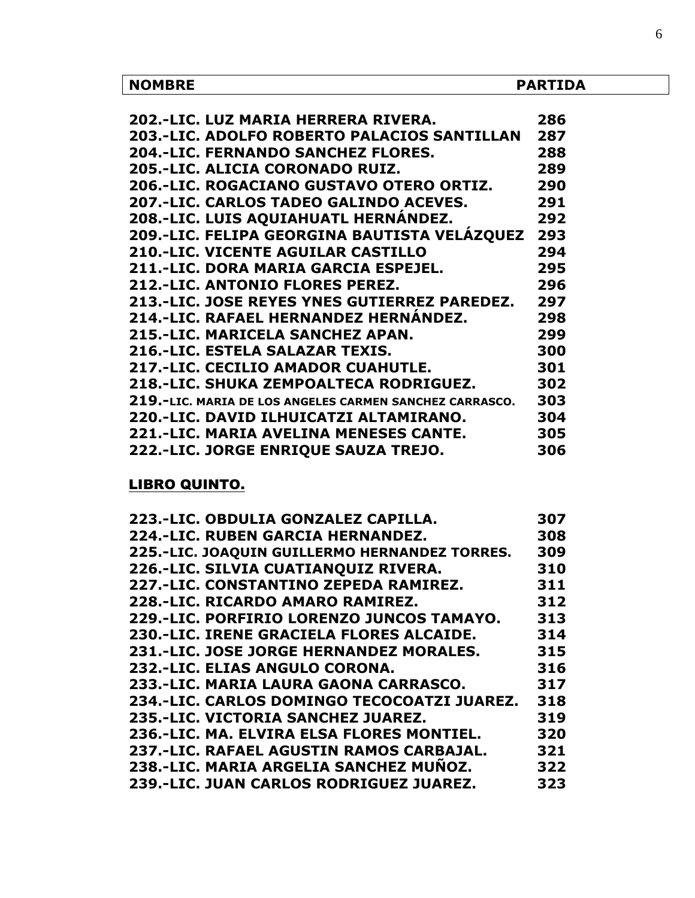| <b>NOMBRE</b>                                           | <b>PARTIDA</b> |
|---------------------------------------------------------|----------------|
|                                                         |                |
| 202.-LIC. LUZ MARIA HERRERA RIVERA.                     | 286            |
| <b>203.-LIC. ADOLFO ROBERTO PALACIOS SANTILLAN</b>      | 287            |
| <b>204.-LIC. FERNANDO SANCHEZ FLORES.</b>               | 288            |
| 205.-LIC. ALICIA CORONADO RUIZ.                         | 289            |
| 206.-LIC. ROGACIANO GUSTAVO OTERO ORTIZ.                | 290            |
| 207.-LIC. CARLOS TADEO GALINDO ACEVES.                  | 291            |
| 208.-LIC. LUIS AQUIAHUATL HERNÁNDEZ.                    | 292            |
| 209.-LIC. FELIPA GEORGINA BAUTISTA VELÁZQUEZ            | 293            |
| <b>210.-LIC. VICENTE AGUILAR CASTILLO</b>               | 294            |
| 211.-LIC. DORA MARIA GARCIA ESPEJEL.                    | 295            |
| <b>212.-LIC. ANTONIO FLORES PEREZ.</b>                  | 296            |
| 213.-LIC. JOSE REYES YNES GUTIERREZ PAREDEZ.            | 297            |
| 214.-LIC. RAFAEL HERNANDEZ HERNÁNDEZ.                   | 298            |
| 215.-LIC. MARICELA SANCHEZ APAN.                        | 299            |
| 216.-LIC. ESTELA SALAZAR TEXIS.                         | 300            |
| <b>217.-LIC. CECILIO AMADOR CUAHUTLE.</b>               | 301            |
| 218.-LIC. SHUKA ZEMPOALTECA RODRIGUEZ.                  | 302            |
| 219.-LIC. MARIA DE LOS ANGELES CARMEN SANCHEZ CARRASCO. | 303            |
| 220.-LIC. DAVID ILHUICATZI ALTAMIRANO.                  | 304            |
| 221.-LIC. MARIA AVELINA MENESES CANTE.                  | 305            |
| 222.-LIC. JORGE ENRIQUE SAUZA TREJO.                    | 306            |

# LIBRO QUINTO.

| 223.-LIC. OBDULIA GONZALEZ CAPILLA.           | 307 |
|-----------------------------------------------|-----|
| 224.-LIC. RUBEN GARCIA HERNANDEZ.             | 308 |
| 225.-LIC. JOAQUIN GUILLERMO HERNANDEZ TORRES. | 309 |
| 226.-LIC. SILVIA CUATIANQUIZ RIVERA.          | 310 |
| 227.-LIC. CONSTANTINO ZEPEDA RAMIREZ.         | 311 |
| 228.-LIC. RICARDO AMARO RAMIREZ.              | 312 |
| 229.-LIC. PORFIRIO LORENZO JUNCOS TAMAYO.     | 313 |
| 230.-LIC. IRENE GRACIELA FLORES ALCAIDE.      | 314 |
| 231.-LIC. JOSE JORGE HERNANDEZ MORALES.       | 315 |
| 232.-LIC. ELIAS ANGULO CORONA.                | 316 |
| 233.-LIC. MARIA LAURA GAONA CARRASCO.         | 317 |
| 234.-LIC. CARLOS DOMINGO TECOCOATZI JUAREZ.   | 318 |
| 235.-LIC. VICTORIA SANCHEZ JUAREZ.            | 319 |
| 236.-LIC. MA. ELVIRA ELSA FLORES MONTIEL.     | 320 |
| 237.-LIC. RAFAEL AGUSTIN RAMOS CARBAJAL.      | 321 |
| 238.-LIC. MARIA ARGELIA SANCHEZ MUÑOZ.        | 322 |
| 239.-LIC. JUAN CARLOS RODRIGUEZ JUAREZ.       | 323 |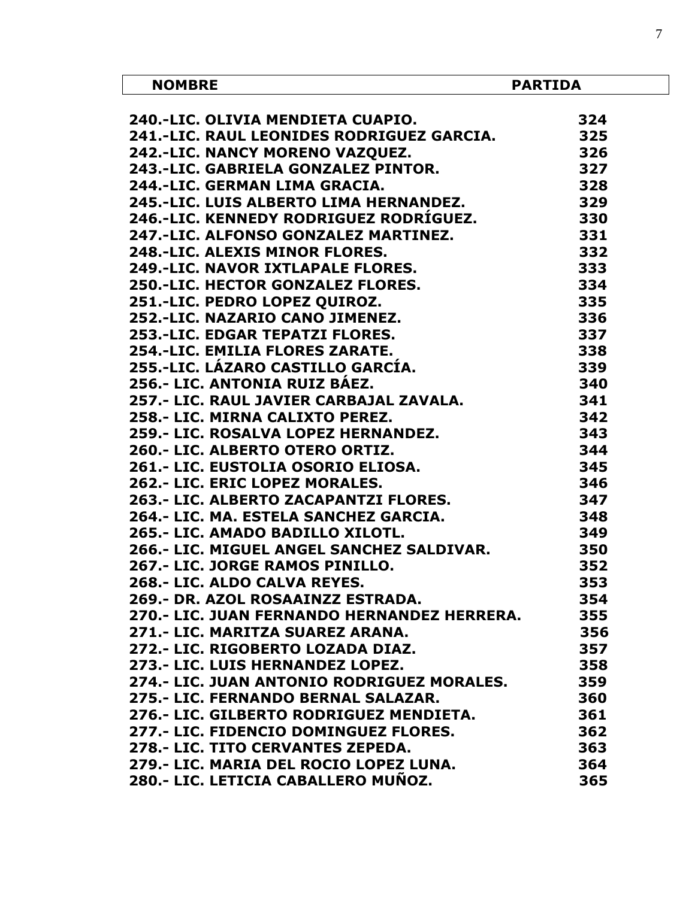| <b>NOMBRE</b>                               | <b>PARTIDA</b> |
|---------------------------------------------|----------------|
| 240.-LIC. OLIVIA MENDIETA CUAPIO.           | 324            |
| 241.-LIC. RAUL LEONIDES RODRIGUEZ GARCIA.   | 325            |
| 242.-LIC. NANCY MORENO VAZQUEZ.             | 326            |
| 243.-LIC. GABRIELA GONZALEZ PINTOR.         | 327            |
| 244.-LIC. GERMAN LIMA GRACIA.               | 328            |
| 245.-LIC. LUIS ALBERTO LIMA HERNANDEZ.      | 329            |
| 246.-LIC. KENNEDY RODRIGUEZ RODRÍGUEZ.      | 330            |
| 247.-LIC. ALFONSO GONZALEZ MARTINEZ.        | 331            |
| 248.-LIC. ALEXIS MINOR FLORES.              | 332            |
| <b>249.-LIC. NAVOR IXTLAPALE FLORES.</b>    | 333            |
| <b>250.-LIC. HECTOR GONZALEZ FLORES.</b>    | 334            |
| 251.-LIC. PEDRO LOPEZ QUIROZ.               | 335            |
| 252.-LIC. NAZARIO CANO JIMENEZ.             | 336            |
| 253.-LIC. EDGAR TEPATZI FLORES.             | 337            |
| 254.-LIC. EMILIA FLORES ZARATE.             | 338            |
| 255.-LIC. LÁZARO CASTILLO GARCÍA.           | 339            |
| 256.- LIC. ANTONIA RUIZ BAEZ.               | 340            |
| 257.- LIC. RAUL JAVIER CARBAJAL ZAVALA.     | 341            |
| 258.- LIC. MIRNA CALIXTO PEREZ.             | 342            |
| 259.- LIC. ROSALVA LOPEZ HERNANDEZ.         | 343            |
| 260.- LIC. ALBERTO OTERO ORTIZ.             | 344            |
| 261.- LIC. EUSTOLIA OSORIO ELIOSA.          | 345            |
| 262.- LIC. ERIC LOPEZ MORALES.              | 346            |
| 263.- LIC. ALBERTO ZACAPANTZI FLORES.       | 347            |
| 264.- LIC. MA. ESTELA SANCHEZ GARCIA.       | 348            |
| 265.- LIC. AMADO BADILLO XILOTL.            | 349            |
| 266.- LIC. MIGUEL ANGEL SANCHEZ SALDIVAR.   | 350            |
| 267.- LIC. JORGE RAMOS PINILLO.             | 352            |
| 268 .- LIC. ALDO CALVA REYES.               | 353            |
| 269.- DR. AZOL ROSAAINZZ ESTRADA.           | 354            |
| 270.- LIC. JUAN FERNANDO HERNANDEZ HERRERA. | 355            |
| 271.- LIC. MARITZA SUAREZ ARANA.            | 356            |
| 272.- LIC. RIGOBERTO LOZADA DIAZ.           | 357            |
| 273.- LIC. LUIS HERNANDEZ LOPEZ.            | 358            |
| 274.- LIC. JUAN ANTONIO RODRIGUEZ MORALES.  | 359            |
| 275.- LIC. FERNANDO BERNAL SALAZAR.         | 360            |
| 276.- LIC. GILBERTO RODRIGUEZ MENDIETA.     | 361            |
| 277.- LIC. FIDENCIO DOMINGUEZ FLORES.       | 362            |
| 278.- LIC. TITO CERVANTES ZEPEDA.           | 363            |
| 279.- LIC. MARIA DEL ROCIO LOPEZ LUNA.      | 364            |
| 280.- LIC. LETICIA CABALLERO MUÑOZ.         | 365            |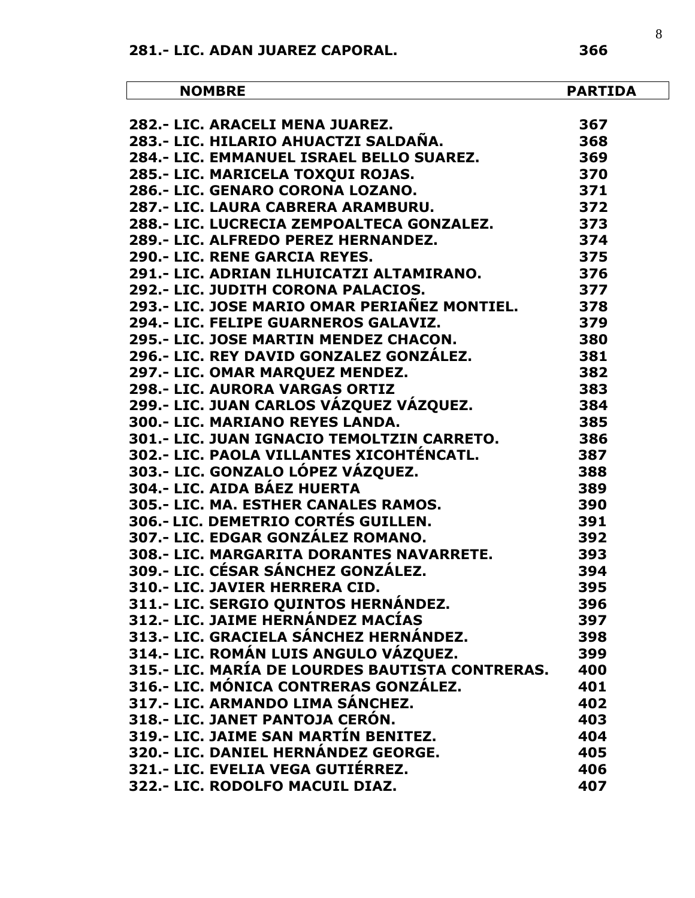| <b>NOMBRE</b>                                                                                              | <b>PARTIDA</b> |
|------------------------------------------------------------------------------------------------------------|----------------|
|                                                                                                            |                |
| 282.- LIC. ARACELI MENA JUAREZ.<br>283.- LIC. HILARIO AHUACTZI SALDAÑA.                                    | 367            |
| 284.- LIC. EMMANUEL ISRAEL BELLO SUAREZ.                                                                   | 368            |
|                                                                                                            | 369            |
| 285.- LIC. MARICELA TOXQUI ROJAS.                                                                          | 370            |
| 286.- LIC. GENARO CORONA LOZANO.<br>286.- LIC. GENARO CORONA LOZANO.<br>287.- LIC. LAURA CABRERA ARAMBURU. | 371            |
|                                                                                                            | 372            |
| 288.- LIC. LUCRECIA ZEMPOALTECA GONZALEZ.                                                                  | 373            |
| 289.- LIC. ALFREDO PEREZ HERNANDEZ.                                                                        | 374            |
| 290.- LIC. RENE GARCIA REYES.                                                                              | 375            |
| 291.- LIC. ADRIAN ILHUICATZI ALTAMIRANO.                                                                   | 376            |
| 292.- LIC. JUDITH CORONA PALACIOS.                                                                         | 377            |
| 293.- LIC. JOSE MARIO OMAR PERIAÑEZ MONTIEL.                                                               | 378            |
| 294.- LIC. FELIPE GUARNEROS GALAVIZ.                                                                       | 379            |
| 295.- LIC. JOSE MARTIN MENDEZ CHACON.                                                                      | 380            |
| 296.- LIC. REY DAVID GONZALEZ GONZÁLEZ.                                                                    | 381            |
| 297.- LIC. OMAR MARQUEZ MENDEZ.                                                                            | 382            |
| 298.- LIC. AURORA VARGAS ORTIZ                                                                             | 383            |
| 299.- LIC. JUAN CARLOS VÁZQUEZ VÁZQUEZ.                                                                    | 384            |
| 300.- LIC. MARIANO REYES LANDA.                                                                            | 385            |
| 301.- LIC. JUAN IGNACIO TEMOLTZIN CARRETO.                                                                 | 386            |
| 302.- LIC. PAOLA VILLANTES XICOHTÉNCATL.                                                                   | 387            |
| 303.- LIC. GONZALO LÓPEZ VÁZQUEZ.                                                                          | 388            |
| 304.- LIC. AIDA BÁEZ HUERTA                                                                                | 389            |
| 304.- LIC. AIDA DALE IIULNIA<br>305.- LIC. MA. ESTHER CANALES RAMOS.                                       | 390            |
| <b>306.- LIC. DEMETRIO CORTÉS GUILLEN.</b>                                                                 | 391            |
| 307.- LIC. EDGAR GONZÁLEZ ROMANO.                                                                          | 392            |
| <b>308.- LIC. MARGARITA DORANTES NAVARRETE.</b>                                                            | 393            |
| 309.- LIC. CÉSAR SÁNCHEZ GONZÁLEZ.                                                                         | 394            |
| 310.- LIC. JAVIER HERRERA CID.                                                                             | 395            |
| 311.- LIC. SERGIO QUINTOS HERNÁNDEZ.                                                                       | 396            |
| 312.- LIC. JAIME HERNÁNDEZ MACÍAS                                                                          | 397            |
| 313.- LIC. GRACIELA SÁNCHEZ HERNÁNDEZ.                                                                     | 398            |
| 314.- LIC. ROMÁN LUIS ANGULO VÁZQUEZ.                                                                      | 399            |
| 315.- LIC. MARÍA DE LOURDES BAUTISTA CONTRERAS.                                                            | 400            |
| 316.- LIC. MÓNICA CONTRERAS GONZÁLEZ.                                                                      | 401            |
| 317.- LIC. ARMANDO LIMA SÁNCHEZ.                                                                           | 402            |
| 318.- LIC. JANET PANTOJA CERÓN.                                                                            | 403            |
| 319.- LIC. JAIME SAN MARTÍN BENITEZ.                                                                       | 404            |
| 320.- LIC. DANIEL HERNÁNDEZ GEORGE.                                                                        | 405            |
| 321.- LIC. EVELIA VEGA GUTIÉRREZ.                                                                          | 406            |
| 322.- LIC. RODOLFO MACUIL DIAZ.                                                                            | 407            |
|                                                                                                            |                |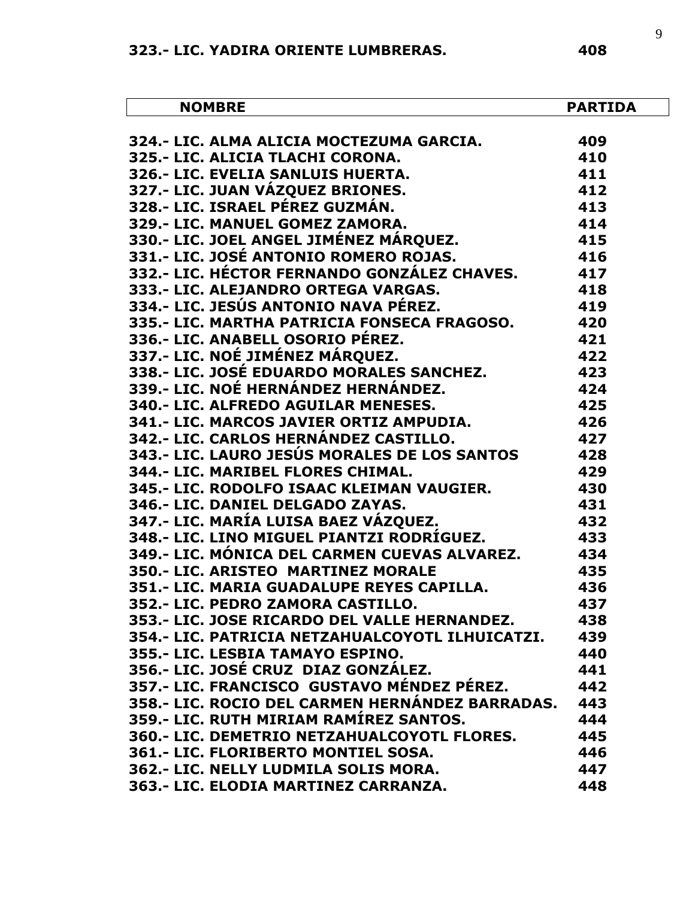| <b>NOMBRE</b>                                                                                                                                                                | <b>PARTIDA</b>                |
|------------------------------------------------------------------------------------------------------------------------------------------------------------------------------|-------------------------------|
|                                                                                                                                                                              |                               |
| 324.- LIC. ALMA ALICIA MOCTEZUMA GARCIA.                       409<br>محمد التاريخ التاريخ العام 10<br>$\begin{array}{c} 409 \\ 410 \\ 411 \\ 412 \\ 413 \end{array}$        |                               |
|                                                                                                                                                                              |                               |
| 326.- LIC. EVELIA SANLUIS HUERTA.                                                                                                                                            |                               |
| 327.- LIC. JUAN VÁZQUEZ BRIONES.                                                                                                                                             |                               |
| 328.- LIC. ISRAEL PÉREZ GUZMÁN.                                                                                                                                              |                               |
| 329.- LIC. MANUEL GOMEZ ZAMORA.<br>330.- LIC. JOEL ANGEL JIMÉNEZ MÁRQUEZ.                                                                                                    | 414<br>415                    |
|                                                                                                                                                                              |                               |
|                                                                                                                                                                              |                               |
|                                                                                                                                                                              |                               |
|                                                                                                                                                                              |                               |
|                                                                                                                                                                              |                               |
| 335.- LIC. MARTHA PATRICIA FONSECA FRAGOSO.                   420                                                                                                            |                               |
| 336.- LIC. ANABELL OSORIO PÉREZ.                                                                                                                                             | 421                           |
| 337.- LIC. NOÉ JIMÉNEZ MÁRQUEZ.                                                                                                                                              | 422                           |
|                                                                                                                                                                              |                               |
| 337.- LIC. NOE JIMENEZ MAKQUEZ.<br>338.- LIC. JOSÉ EDUARDO MORALES SANCHEZ.                      423<br>339.- LIC. NOÉ HERNÁNDEZ HERNÁNDEZ.                              424 |                               |
|                                                                                                                                                                              | $425$<br>$426$                |
| 339.- LIC. NOE HERNANDEZ HERNANDEZ.<br>340.- LIC. ALFREDO AGUILAR MENESES.<br>341.- LIC. MARCOS JAVIER ORTIZ AMPUDIA.<br>341.- LIC. MARCOS JAVIER ORTIZ AMPUDIA.             |                               |
|                                                                                                                                                                              | $\overline{427}$              |
| 342.- LIC. CARLOS HEKNANDEZ CASTILLO.<br>343.- LIC. LAURO JESÚS MORALES DE LOS SANTOS                                                                                        | 428                           |
| 344.- LIC. MARIBEL FLORES CHIMAL.                                                                                                                                            | 429                           |
| 345.- LIC. RODOLFO ISAAC KLEIMAN VAUGIER.<br>346.- LIC. DANIEL DELGADO ZAYAS.<br>347.- LIC. MARÍA LUISA BAEZ VÁZQUEZ <sub>:</sub>                                            | 430                           |
|                                                                                                                                                                              | 431                           |
|                                                                                                                                                                              | $\overline{432}$              |
| 348.- LIC. LINO MIGUEL PIANTZI RODRÍGUEZ.                                                                                                                                    | 433                           |
| 349.- LIC. MÓNICA DEL CARMEN CUEVAS ALVAREZ.               434                                                                                                               |                               |
| 350.- LIC. ARISTEO MARTINEZ MORALE                                                                                                                                           | 435                           |
| 351.- LIC. MARIA GUADALUPE REYES CAPILLA.                                                                                                                                    | 436                           |
| 352.- LIC. PEDRO ZAMORA CASTILLO.                                                                                                                                            | 437                           |
| 353.- LIC. JOSE RICARDO DEL VALLE HERNANDEZ.                                                                                                                                 | 438                           |
| 354.- LIC. PATRICIA NETZAHUALCOYOTL ILHUICATZI.                                                                                                                              | 439                           |
| 355.- LIC. LESBIA TAMAYO ESPINO.                                                                                                                                             | 440                           |
| 356.- LIC. JOSÉ CRUZ DIAZ GONZÁLEZ.                                                                                                                                          | 441                           |
| 357.- LIC. FRANCISCO  GUSTAVO MÉNDEZ PÉREZ.                                                                                                                                  | 442                           |
| 358.- LIC. ROCIO DEL CARMEN HERNÁNDEZ BARRADAS.                                                                                                                              | 443                           |
| 359.- LIC. RUTH MIRIAM RAMÍREZ SANTOS.                                                                                                                                       | 444                           |
| 360.- LIC. DEMETRIO NETZAHUALCOYOTL FLORES.                                                                                                                                  | 445                           |
| 361.- LIC. FLORIBERTO MONTIEL SOSA.                                                                                                                                          | 446                           |
| 262 LTC NELLY LUDMTLA COLTE MODA                                                                                                                                             | $\overline{A}$ $\overline{A}$ |

**362.- LIC. NELLY LUDMILA SOLIS MORA. 447 363.- LIC. ELODIA MARTINEZ CARRANZA. 448**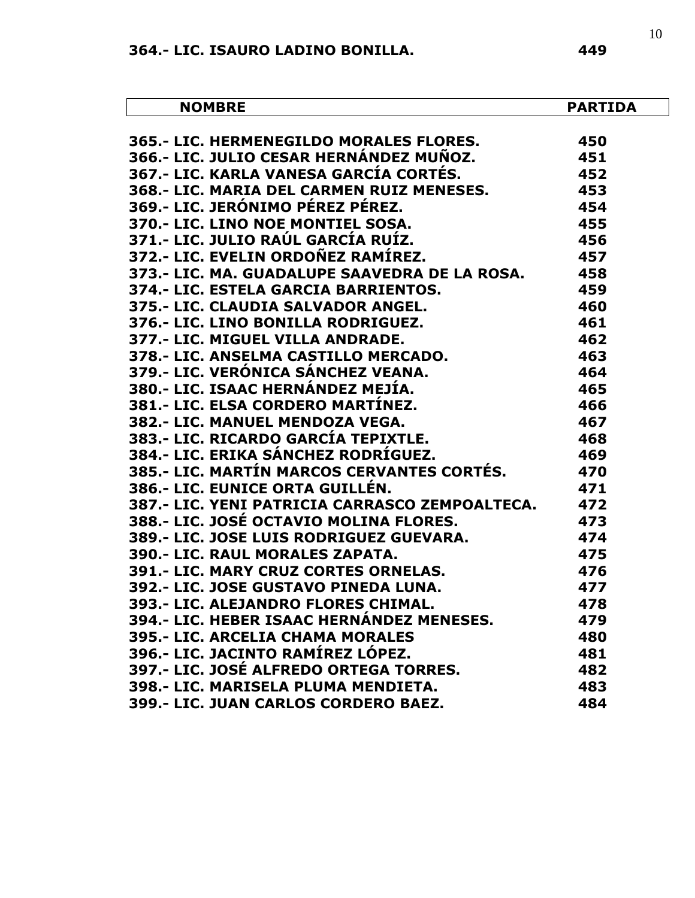| <b>NOMBRE</b>                                  | PARTIDA |
|------------------------------------------------|---------|
| 365.- LIC. HERMENEGILDO MORALES FLORES.        | 450     |
| 366.- LIC. JULIO CESAR HERNÁNDEZ MUÑOZ.        | 451     |
| 367.- LIC. KARLA VANESA GARCÍA CORTÉS.         | 452     |
| 368.- LIC. MARIA DEL CARMEN RUIZ MENESES.      | 453     |
| 369.- LIC. JERÓNIMO PÉREZ PÉREZ.               | 454     |
| 370.- LIC. LINO NOE MONTIEL SOSA.              | 455     |
| 371.- LIC. JULIO RAÚL GARCÍA RUÍZ.             | 456     |
| 372.- LIC. EVELIN ORDOÑEZ RAMÍREZ.             | 457     |
| 373.- LIC. MA. GUADALUPE SAAVEDRA DE LA ROSA.  | 458     |
| 374.- LIC. ESTELA GARCIA BARRIENTOS.           | 459     |
| 375.- LIC. CLAUDIA SALVADOR ANGEL.             | 460     |
| 376.- LIC. LINO BONILLA RODRIGUEZ.             | 461     |
| 377.- LIC. MIGUEL VILLA ANDRADE.               | 462     |
| 378.- LIC. ANSELMA CASTILLO MERCADO.           | 463     |
| 379.- LIC. VERÓNICA SÁNCHEZ VEANA.             | 464     |
| 380.- LIC. ISAAC HERNÁNDEZ MEJÍA.              | 465     |
| 381.- LIC. ELSA CORDERO MARTÍNEZ.              | 466     |
| 382.- LIC. MANUEL MENDOZA VEGA.                | 467     |
| 383.- LIC. RICARDO GARCÍA TEPIXTLE.            | 468     |
| 384.- LIC. ERIKA SÁNCHEZ RODRÍGUEZ.            | 469     |
| 385.- LIC. MARTÍN MARCOS CERVANTES CORTÉS.     | 470     |
| 386.- LIC. EUNICE ORTA GUILLÉN.                | 471     |
| 387.- LIC. YENI PATRICIA CARRASCO ZEMPOALTECA. | 472     |
| 388.- LIC. JOSÉ OCTAVIO MOLINA FLORES.         | 473     |
| 389.- LIC. JOSE LUIS RODRIGUEZ GUEVARA.        | 474     |
| 390.- LIC. RAUL MORALES ZAPATA.                | 475     |
| 391.- LIC. MARY CRUZ CORTES ORNELAS.           | 476     |
| 392.- LIC. JOSE GUSTAVO PINEDA LUNA.           | 477     |
| 393.- LIC. ALEJANDRO FLORES CHIMAL.            | 478     |
| 394.- LIC. HEBER ISAAC HERNÁNDEZ MENESES.      | 479     |
| 395.- LIC, ARCELIA CHAMA MORALES               | 480     |
| 396.- LIC. JACINTO RAMÍREZ LÓPEZ.              | 481     |
| 397.- LIC. JOSÉ ALFREDO ORTEGA TORRES.         | 482     |
| 398.- LIC. MARISELA PLUMA MENDIETA.            | 483     |
| 399.- LIC. JUAN CARLOS CORDERO BAEZ.           | 484     |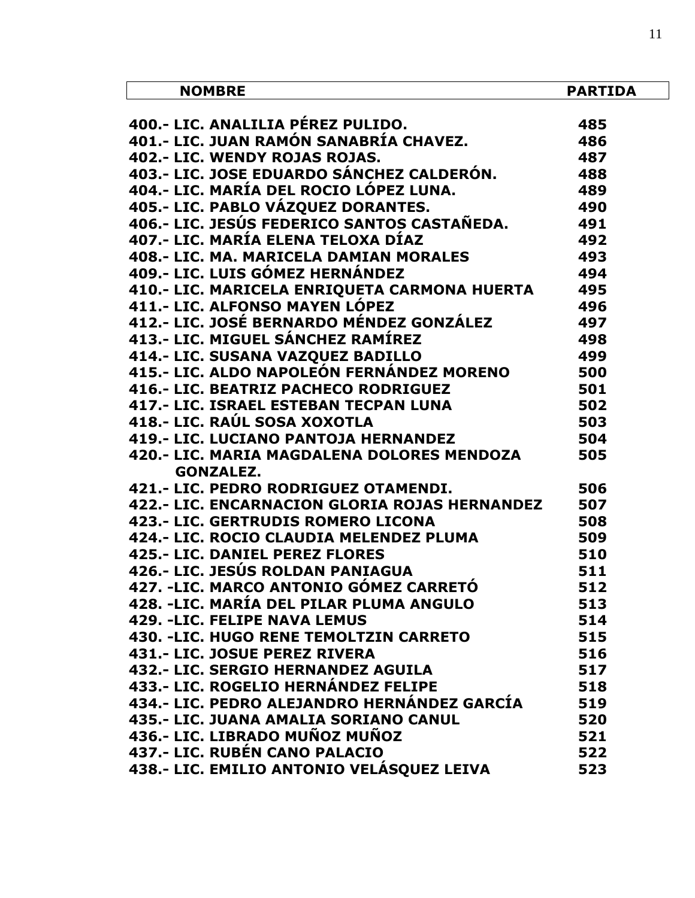| <b>NOMBRE</b>                                                                                                     | <b>PARTIDA</b> |
|-------------------------------------------------------------------------------------------------------------------|----------------|
|                                                                                                                   |                |
| 400 .- LIC. ANALILIA PÉREZ PULIDO.<br>400.- LIC. ANALILIA PEREZ PULIDO.<br>401.- LIC. JUAN RAMÓN SANABRÍA CHAVEZ. | 485            |
|                                                                                                                   | 486            |
| 402 .- LIC. WENDY ROJAS ROJAS.                                                                                    | 487            |
| 403.- LIC. JOSE EDUARDO SÁNCHEZ CALDERÓN.                                                                         | 488            |
| 404.- LIC. MARÍA DEL ROCIO LÓPEZ LUNA.                                                                            | 489            |
| 405.- LIC. PABLO VÁZQUEZ DORANTES.                                                                                | 490            |
| 406.- LIC. JESÚS FEDERICO SANTOS CASTAÑEDA.                                                                       | 491            |
| 407.- LIC. MARÍA ELENA TELOXA DÍAZ                                                                                | 492            |
| 408.- LIC. MA. MARICELA DAMIAN MORALES                                                                            | 493            |
| 409.- LIC. LUIS GÓMEZ HERNÁNDEZ                                                                                   | 494            |
| 410.- LIC. MARICELA ENRIQUETA CARMONA HUERTA                                                                      | 495            |
| 411.- LIC. ALFONSO MAYEN LÓPEZ                                                                                    | 496            |
| 412.- LIC. JOSÉ BERNARDO MÉNDEZ GONZÁLEZ                                                                          | 497            |
| 413.- LIC. MIGUEL SÁNCHEZ RAMÍREZ                                                                                 | 498            |
| 414.- LIC. SUSANA VAZQUEZ BADILLO                                                                                 | 499            |
| 415.- LIC. ALDO NAPOLEÓN FERNÁNDEZ MORENO                                                                         | 500            |
| 416.- LIC. BEATRIZ PACHECO RODRIGUEZ                                                                              | 501            |
| 417.- LIC. ISRAEL ESTEBAN TECPAN LUNA                                                                             | 502            |
| 418.- LIC. RAÚL SOSA XOXOTLA                                                                                      | 503            |
| <b>419.- LIC. LUCIANO PANTOJA HERNANDEZ</b>                                                                       | 504            |
| 420.- LIC. MARIA MAGDALENA DOLORES MENDOZA                                                                        | 505            |
| <b>GONZALEZ.</b>                                                                                                  |                |
| 421.- LIC. PEDRO RODRIGUEZ OTAMENDI.                                                                              | 506            |
| 422.- LIC. ENCARNACION GLORIA ROJAS HERNANDEZ                                                                     | 507            |
| 423.- LIC. GERTRUDIS ROMERO LICONA                                                                                | 508            |
| 424.- LIC. ROCIO CLAUDIA MELENDEZ PLUMA                                                                           | 509            |
| <b>425.- LIC. DANIEL PEREZ FLORES</b>                                                                             | 510            |
| 426.- LIC. JESÚS ROLDAN PANIAGUA                                                                                  | 511            |
| 427. - LIC. MARCO ANTONIO GÓMEZ CARRETÓ                                                                           | 512            |
| 428. -LIC. MARÍA DEL PILAR PLUMA ANGULO                                                                           | 513            |
| <b>429. -LIC. FELIPE NAVA LEMUS</b>                                                                               | 514            |
| 430. -LIC. HUGO RENE TEMOLTZIN CARRETO                                                                            | 515            |
| 431.- LIC. JOSUE PEREZ RIVERA                                                                                     | 516            |
| 432.- LIC. SERGIO HERNANDEZ AGUILA                                                                                | 517            |
| 433.- LIC. ROGELIO HERNÁNDEZ FELIPE                                                                               | 518            |
| 434.- LIC. PEDRO ALEJANDRO HERNÁNDEZ GARCÍA                                                                       | 519            |
| 435.- LIC. JUANA AMALIA SORIANO CANUL                                                                             | 520            |
| 436.- LIC. LIBRADO MUÑOZ MUÑOZ                                                                                    | 521            |
| 437.- LIC. RUBÉN CANO PALACIO                                                                                     | 522            |
| 438.- LIC. EMILIO ANTONIO VELÁSQUEZ LEIVA                                                                         | 523            |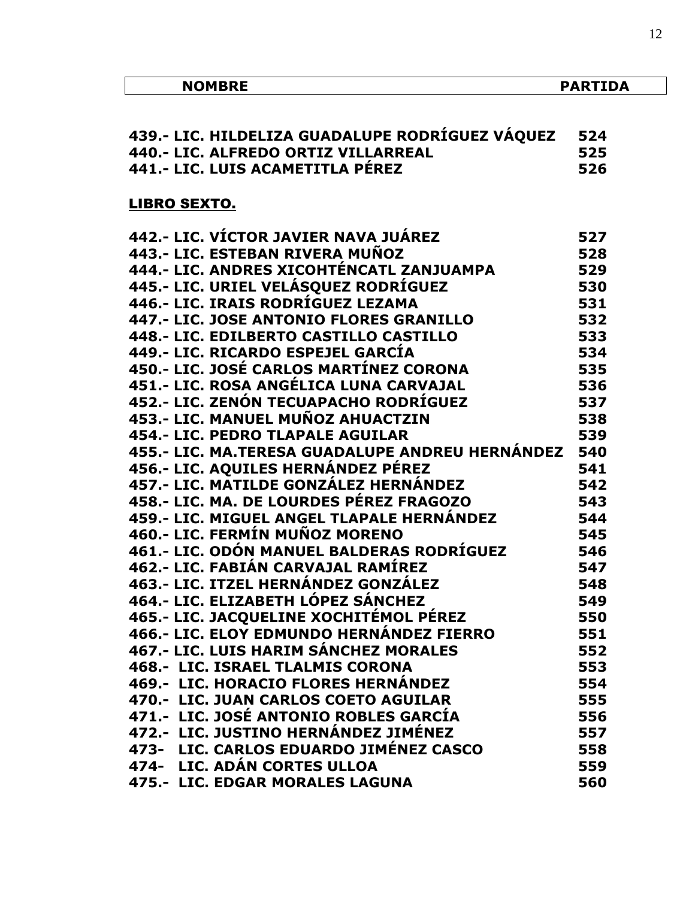| <b>NOMBRE</b>                                   | <b>PARTIDA</b> |
|-------------------------------------------------|----------------|
|                                                 |                |
| 439.- LIC. HILDELIZA GUADALUPE RODRÍGUEZ VÁQUEZ | 524            |
| 440.- LIC. ALFREDO ORTIZ VILLARREAL             | 525            |
| 441.- LIC. LUIS ACAMETITLA PÉREZ                | 526            |
| <b>LIBRO SEXTO.</b>                             |                |
| 442.- LIC. VÍCTOR JAVIER NAVA JUÁREZ            | 527            |
| 443.- LIC. ESTEBAN RIVERA MUÑOZ                 | 528            |
| 444.- LIC. ANDRES XICOHTÉNCATL ZANJUAMPA        | 529            |
| 445.- LIC. URIEL VELÁSQUEZ RODRÍGUEZ            | 530            |
| 446.- LIC. IRAIS RODRÍGUEZ LEZAMA               | 531            |
| 447.- LIC. JOSE ANTONIO FLORES GRANILLO         | 532            |
| 448.- LIC. EDILBERTO CASTILLO CASTILLO          | 533            |
| 449.- LIC. RICARDO ESPEJEL GARCÍA               | 534            |
| 450.- LIC. JOSÉ CARLOS MARTÍNEZ CORONA          | 535            |
| 451.- LIC. ROSA ANGÉLICA LUNA CARVAJAL          | 536            |
| 452.- LIC. ZENÓN TECUAPACHO RODRÍGUEZ           | 537            |
| 453.- LIC. MANUEL MUÑOZ AHUACTZIN               | 538            |
| 454 .- LIC. PEDRO TLAPALE AGUILAR               | 539            |
| 455.- LIC. MA.TERESA GUADALUPE ANDREU HERNÁNDEZ | 540            |
| 456.- LIC. AQUILES HERNÁNDEZ PÉREZ              | 541            |
| 457.- LIC. MATILDE GONZÁLEZ HERNÁNDEZ           | 542            |
| 458.- LIC. MA. DE LOURDES PÉREZ FRAGOZO         | 543            |
| 459.- LIC. MIGUEL ANGEL TLAPALE HERNÁNDEZ       | 544            |
| 460.- LIC. FERMÍN MUÑOZ MORENO                  | 545            |
| 461.- LIC. ODÓN MANUEL BALDERAS RODRÍGUEZ       | 546            |
| 462.- LIC. FABIÁN CARVAJAL RAMÍREZ              | 547            |
| 463.- LIC. ITZEL HERNÁNDEZ GONZÁLEZ             | 548            |
| 464.- LIC. ELIZABETH LÓPEZ SÁNCHEZ              | 549            |
| 465.- LIC. JACQUELINE XOCHITÉMOL PÉREZ          | 550            |
| 466.- LIC. ELOY EDMUNDO HERNÁNDEZ FIERRO        | 551            |
| 467 .- LIC. LUIS HARIM SÁNCHEZ MORALES          | 552            |
| <b>468.- LIC. ISRAEL TLALMIS CORONA</b>         | 553            |
| 469.- LIC. HORACIO FLORES HERNÁNDEZ             | 554            |
| 470.- LIC. JUAN CARLOS COETO AGUILAR            | 555            |
| 471.- LIC. JOSÉ ANTONIO ROBLES GARCÍA           | 556            |
| 472.- LIC. JUSTINO HERNÁNDEZ JIMÉNEZ            | 557            |
| 473- LIC. CARLOS EDUARDO JIMÉNEZ CASCO          | 558            |
| 474- LIC. ADÁN CORTES ULLOA                     | 559            |
| 475.- LIC. EDGAR MORALES LAGUNA                 | 560            |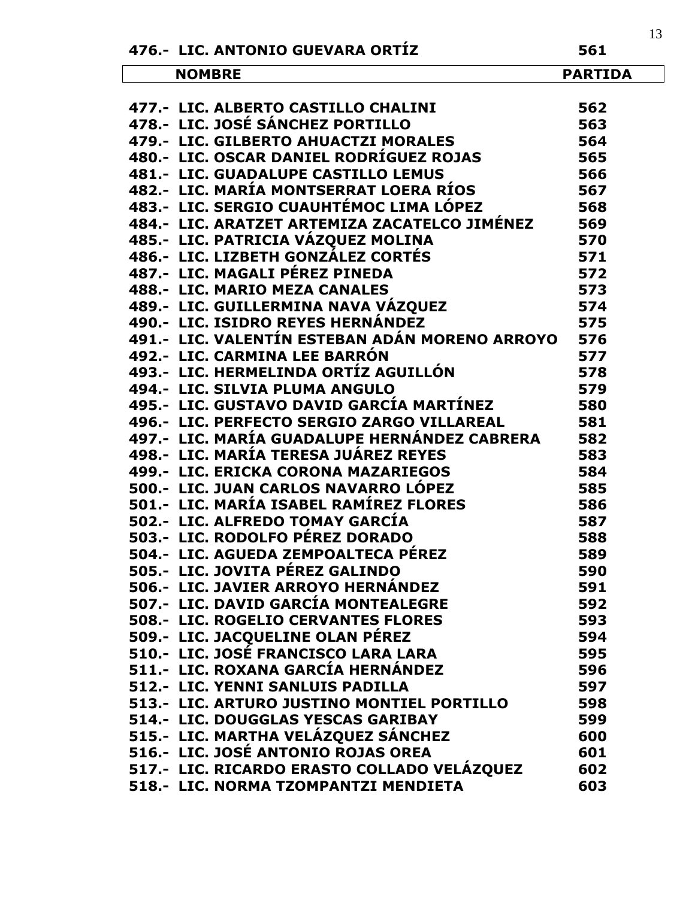| 476.- LIC. ANTONIO GUEVARA ORTÍZ                  | 561            | IJ |
|---------------------------------------------------|----------------|----|
| <b>NOMBRE</b>                                     | <b>PARTIDA</b> |    |
|                                                   |                |    |
| 477.- LIC. ALBERTO CASTILLO CHALINI               | 562            |    |
| 478.- LIC. JOSÉ SÁNCHEZ PORTILLO                  | 563            |    |
| 479.- LIC. GILBERTO AHUACTZI MORALES              | 564            |    |
| 480.- LIC. OSCAR DANIEL RODRÍGUEZ ROJAS           | 565            |    |
| 481.- LIC. GUADALUPE CASTILLO LEMUS               | 566            |    |
| 482.- LIC. MARÍA MONTSERRAT LOERA RÍOS            | 567            |    |
| 483.- LIC. SERGIO CUAUHTÉMOC LIMA LÓPEZ           | 568            |    |
| 484.- LIC. ARATZET ARTEMIZA ZACATELCO JIMÉNEZ 569 |                |    |
| 485.- LIC. PATRICIA VÁZQUEZ MOLINA                | 570            |    |
| 486.- LIC. LIZBETH GONZÁLEZ CORTÉS                | 571            |    |
| 487.- LIC. MAGALI PÉREZ PINEDA                    | 572            |    |
| 488.- LIC. MARIO MEZA CANALES                     | 573            |    |
| 489.- LIC. GUILLERMINA NAVA VÁZQUEZ               | 574            |    |
| 490.- LIC. ISIDRO REYES HERNÁNDEZ                 | 575            |    |
| 491.- LIC. VALENTÍN ESTEBAN ADÁN MORENO ARROYO    | 576            |    |
| 492.- LIC. CARMINA LEE BARRÓN                     | 577            |    |
| 493.- LIC. HERMELINDA ORTÍZ AGUILLÓN              | 578            |    |
| 494.- LIC. SILVIA PLUMA ANGULO                    | 579            |    |
| 495.- LIC. GUSTAVO DAVID GARCÍA MARTÍNEZ          | 580            |    |
| 496.- LIC. PERFECTO SERGIO ZARGO VILLAREAL        | 581            |    |
| 497.- LIC. MARÍA GUADALUPE HERNÁNDEZ CABRERA      | 582            |    |
| 498.- LIC. MARÍA TERESA JUÁREZ REYES              | 583            |    |
| 499.- LIC. ERICKA CORONA MAZARIEGOS               | 584            |    |
| 500.- LIC. JUAN CARLOS NAVARRO LÓPEZ              | 585            |    |
| 501.- LIC. MARÍA ISABEL RAMÍREZ FLORES            | 586            |    |
| 502.- LIC. ALFREDO TOMAY GARCÍA                   | 587            |    |
| 503.- LIC. RODOLFO PÉREZ DORADO                   | 588            |    |
| 504.- LIC. AGUEDA ZEMPOALTECA PÉREZ               | 589            |    |
| 505.- LIC. JOVITA PÉREZ GALINDO                   | 590            |    |
| 506.- LIC. JAVIER ARROYO HERNÁNDEZ                | 591            |    |
| 507.- LIC. DAVID GARCÍA MONTEALEGRE               | 592            |    |
| <b>508.- LIC. ROGELIO CERVANTES FLORES</b>        | 593            |    |
| 509.- LIC. JACQUELINE OLAN PÉREZ                  | 594            |    |
| 510.- LIC. JOSÉ FRANCISCO LARA LARA               | 595            |    |
| 511.- LIC. ROXANA GARCÍA HERNÁNDEZ                | 596            |    |
| 512.- LIC. YENNI SANLUIS PADILLA                  | 597            |    |
| 513.- LIC. ARTURO JUSTINO MONTIEL PORTILLO        | 598            |    |
| 514.- LIC. DOUGGLAS YESCAS GARIBAY                | 599            |    |
| 515.- LIC. MARTHA VELÁZQUEZ SÁNCHEZ               | 600            |    |
| 516.- LIC. JOSÉ ANTONIO ROJAS OREA                | 601            |    |
| 517.- LIC. RICARDO ERASTO COLLADO VELÁZQUEZ       | 602            |    |
| 518.- LIC. NORMA TZOMPANTZI MENDIETA              | 603            |    |
|                                                   |                |    |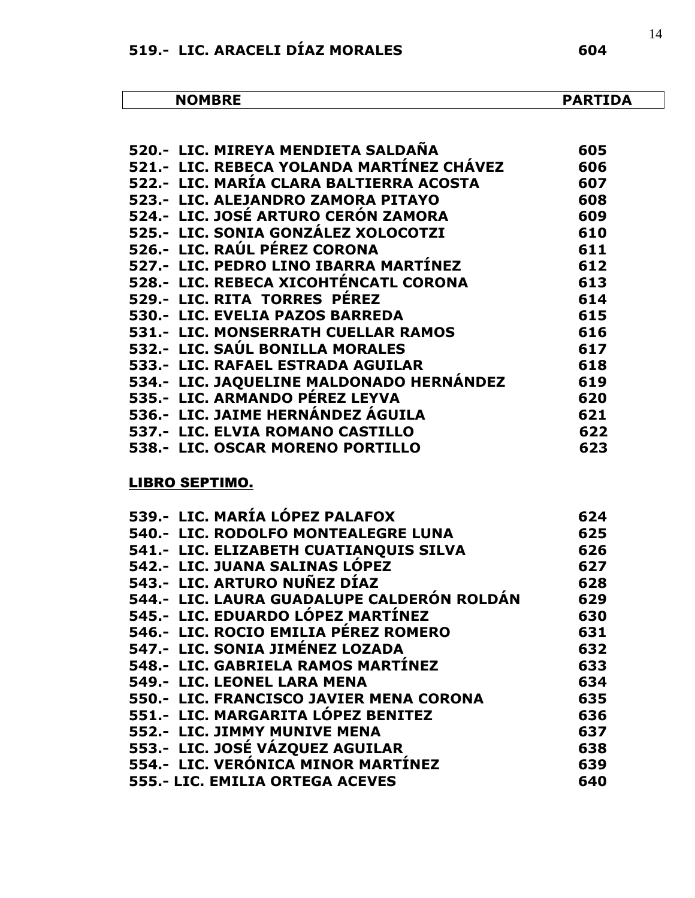| <b>NOMBRE</b> | <b>PARTIDA</b> |
|---------------|----------------|
|---------------|----------------|

| 520.- LIC. MIREYA MENDIETA SALDAÑA         | 605 |
|--------------------------------------------|-----|
| 521.- LIC. REBECA YOLANDA MARTÍNEZ CHÁVEZ  | 606 |
| 522.- LIC. MARÍA CLARA BALTIERRA ACOSTA    | 607 |
| 523.- LIC. ALEJANDRO ZAMORA PITAYO         | 608 |
| 524.- LIC. JOSÉ ARTURO CERÓN ZAMORA        | 609 |
| 525.- LIC. SONIA GONZÁLEZ XOLOCOTZI        | 610 |
| 526.- LIC. RAÚL PÉREZ CORONA               | 611 |
| 527.- LIC. PEDRO LINO IBARRA MARTÍNEZ      | 612 |
| 528.- LIC. REBECA XICOHTÉNCATL CORONA      | 613 |
| 529.- LIC. RITA TORRES PÉREZ               | 614 |
| 530.- LIC. EVELIA PAZOS BARREDA            | 615 |
| <b>531.- LIC. MONSERRATH CUELLAR RAMOS</b> | 616 |
| 532.- LIC. SAÚL BONILLA MORALES            | 617 |
| 533.- LIC. RAFAEL ESTRADA AGUILAR          | 618 |
| 534.- LIC. JAQUELINE MALDONADO HERNÁNDEZ   | 619 |
| 535.- LIC. ARMANDO PÉREZ LEYVA             | 620 |
| 536.- LIC. JAIME HERNÁNDEZ ÁGUILA          | 621 |
| 537.- LIC. ELVIA ROMANO CASTILLO           | 622 |
| 538.- LIC. OSCAR MORENO PORTILLO           | 623 |
|                                            |     |

### LIBRO SEPTIMO.

| 539.- LIC. MARÍA LÓPEZ PALAFOX             | 624 |
|--------------------------------------------|-----|
| 540.- LIC. RODOLFO MONTEALEGRE LUNA        | 625 |
| 541.- LIC. ELIZABETH CUATIANQUIS SILVA     | 626 |
| 542.- LIC. JUANA SALINAS LÓPEZ             | 627 |
| 543.- LIC. ARTURO NUÑEZ DÍAZ               | 628 |
| 544.- LIC. LAURA GUADALUPE CALDERÓN ROLDÁN | 629 |
| 545.- LIC. EDUARDO LÓPEZ MARTÍNEZ          | 630 |
| 546.- LIC. ROCIO EMILIA PÉREZ ROMERO       | 631 |
| 547.- LIC. SONIA JIMÉNEZ LOZADA            | 632 |
| 548.- LIC. GABRIELA RAMOS MARTÍNEZ         | 633 |
| 549.- LIC. LEONEL LARA MENA                | 634 |
| 550.- LIC. FRANCISCO JAVIER MENA CORONA    | 635 |
| 551.- LIC. MARGARITA LÓPEZ BENITEZ         | 636 |
| 552.- LIC. JIMMY MUNIVE MENA               | 637 |
| 553.- LIC. JOSÉ VÁZQUEZ AGUILAR            | 638 |
| 554.- LIC. VERÓNICA MINOR MARTÍNEZ         | 639 |
| 555.- LIC. EMILIA ORTEGA ACEVES            | 640 |
|                                            |     |

14

ᄀ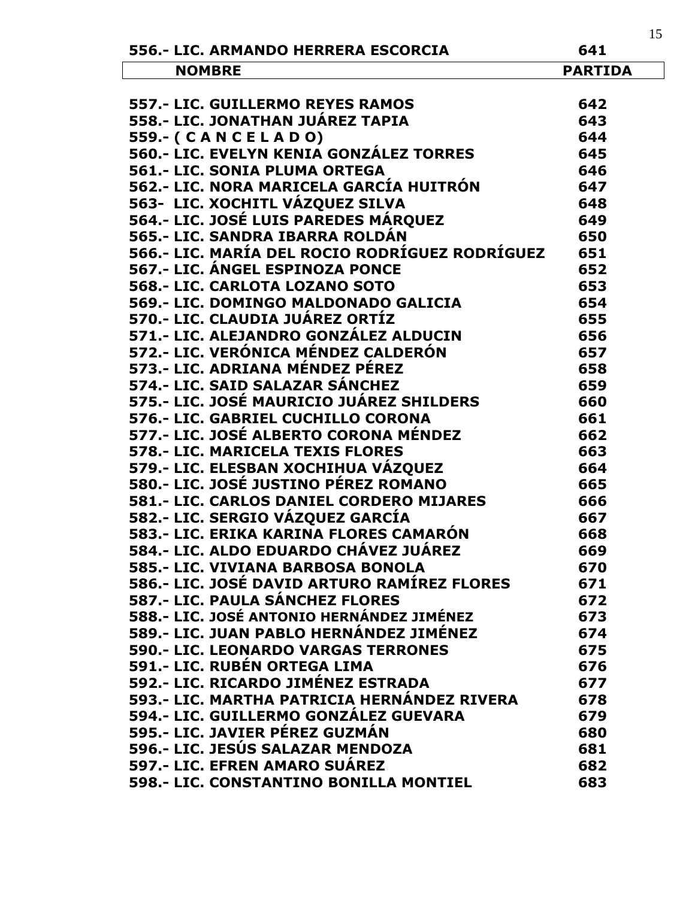|                                                |                | 15 |
|------------------------------------------------|----------------|----|
| 556.- LIC. ARMANDO HERRERA ESCORCIA            | 641            |    |
| <b>NOMBRE</b>                                  | <b>PARTIDA</b> |    |
|                                                |                |    |
| 557.- LIC. GUILLERMO REYES RAMOS               | 642            |    |
| 558.- LIC. JONATHAN JUÁREZ TAPIA               | 643            |    |
| 559 .- (CANCELADO)                             | 644            |    |
| 560.- LIC. EVELYN KENIA GONZÁLEZ TORRES        | 645            |    |
| 561.- LIC. SONIA PLUMA ORTEGA                  | 646            |    |
| 562.- LIC. NORA MARICELA GARCÍA HUITRÓN        | 647            |    |
| 563- LIC. XOCHITL VÁZQUEZ SILVA                | 648            |    |
| 564.- LIC. JOSÉ LUIS PAREDES MÁRQUEZ           | 649            |    |
| 565.- LIC. SANDRA IBARRA ROLDÁN                | 650            |    |
| 566.- LIC. MARÍA DEL ROCIO RODRÍGUEZ RODRÍGUEZ | 651            |    |
| 567.- LIC. ÁNGEL ESPINOZA PONCE                | 652            |    |
| 568 .- LIC. CARLOTA LOZANO SOTO                | 653            |    |
| 569.- LIC. DOMINGO MALDONADO GALICIA           | 654            |    |
| 570.- LIC. CLAUDIA JUÁREZ ORTÍZ                | 655            |    |
| 571.- LIC. ALEJANDRO GONZÁLEZ ALDUCIN          | 656            |    |
| 572.- LIC. VERÓNICA MÉNDEZ CALDERÓN            | 657            |    |
| 573.- LIC. ADRIANA MÉNDEZ PÉREZ                | 658            |    |
| 574.- LIC. SAID SALAZAR SÁNCHEZ                | 659            |    |
| 575.- LIC. JOSÉ MAURICIO JUÁREZ SHILDERS       | 660            |    |
| 576.- LIC. GABRIEL CUCHILLO CORONA             | 661            |    |
| 577.- LIC. JOSÉ ALBERTO CORONA MÉNDEZ          | 662            |    |
| 578 .- LIC. MARICELA TEXIS FLORES              | 663            |    |
| 579.- LIC. ELESBAN XOCHIHUA VÁZQUEZ            | 664            |    |
| 580.- LIC. JOSÉ JUSTINO PÉREZ ROMANO           | 665            |    |
| 581.- LIC. CARLOS DANIEL CORDERO MIJARES       | 666            |    |
| 582.- LIC. SERGIO VÁZQUEZ GARCÍA               | 667            |    |
| 583.- LIC. ERIKA KARINA FLORES CAMARÓN         | 668            |    |
| 584.- LIC. ALDO EDUARDO CHÁVEZ JUÁREZ          | 669            |    |
| 585.- LIC. VIVIANA BARBOSA BONOLA              | 670            |    |
| 586.- LIC. JOSÉ DAVID ARTURO RAMÍREZ FLORES    | 671            |    |
| 587.- LIC. PAULA SÁNCHEZ FLORES                | 672            |    |
| 588.- LIC. JOSÉ ANTONIO HERNÁNDEZ JIMÉNEZ      | 673            |    |
| 589.- LIC. JUAN PABLO HERNÁNDEZ JIMÉNEZ        | 674            |    |
| <b>590.- LIC. LEONARDO VARGAS TERRONES</b>     | 675            |    |
| 591.- LIC. RUBÉN ORTEGA LIMA                   | 676            |    |
| 592.- LIC. RICARDO JIMÉNEZ ESTRADA             | 677            |    |
| 593.- LIC. MARTHA PATRICIA HERNÁNDEZ RIVERA    | 678            |    |
| 594.- LIC. GUILLERMO GONZÁLEZ GUEVARA          | 679            |    |
| 595.- LIC. JAVIER PÉREZ GUZMÁN                 | 680            |    |
| 596.- LIC. JESÚS SALAZAR MENDOZA               | 681            |    |
| 597.- LIC. EFREN AMARO SUÁREZ                  | 682            |    |
| 598.- LIC. CONSTANTINO BONILLA MONTIEL         | 683            |    |
|                                                |                |    |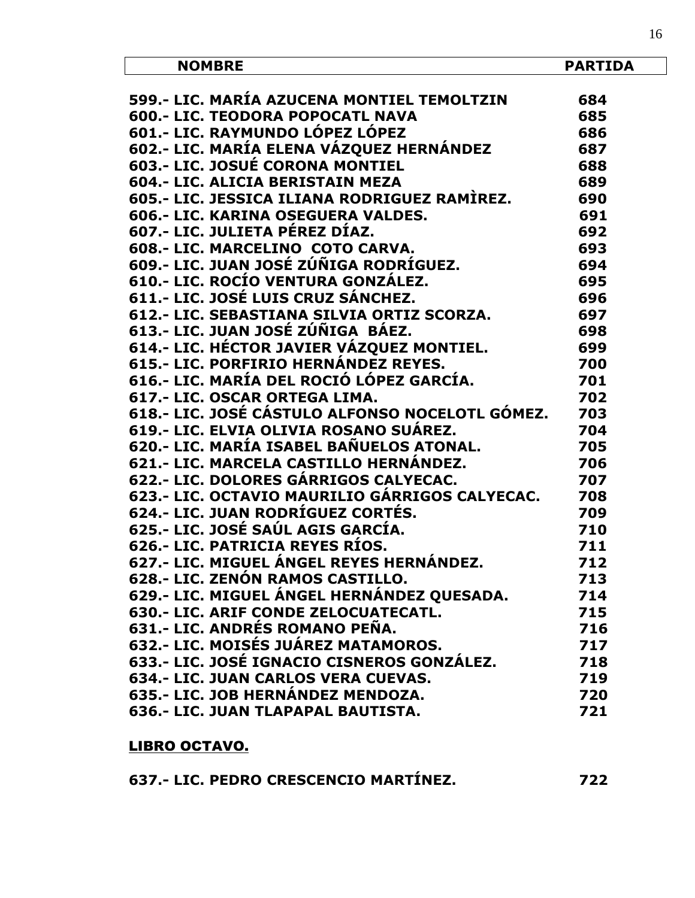| <b>NOMBRE</b>                                   | <b>PARTIDA</b> |
|-------------------------------------------------|----------------|
| 599.- LIC. MARÍA AZUCENA MONTIEL TEMOLTZIN      | 684            |
| <b>600.- LIC. TEODORA POPOCATL NAVA</b>         | 685            |
| 601.- LIC. RAYMUNDO LÓPEZ LÓPEZ                 | 686            |
| 602.- LIC. MARÍA ELENA VÁZQUEZ HERNÁNDEZ        | 687            |
| 603.- LIC. JOSUÉ CORONA MONTIEL                 | 688            |
| 604 .- LIC. ALICIA BERISTAIN MEZA               | 689            |
| 605.- LIC. JESSICA ILIANA RODRIGUEZ RAMÌREZ.    | 690            |
| 606.- LIC. KARINA OSEGUERA VALDES.              | 691            |
| 607.- LIC. JULIETA PÉREZ DÍAZ.                  | 692            |
| 608 .- LIC. MARCELINO COTO CARVA.               | 693            |
| 609.- LIC. JUAN JOSÉ ZÚÑIGA RODRÍGUEZ.          | 694            |
| 610.- LIC. ROCÍO VENTURA GONZÁLEZ.              | 695            |
| 611.- LIC. JOSÉ LUIS CRUZ SÁNCHEZ.              | 696            |
| 612.- LIC. SEBASTIANA SILVIA ORTIZ SCORZA.      | 697            |
| 613.- LIC. JUAN JOSÉ ZÚÑIGA BÁEZ.               | 698            |
| 614.- LIC. HÉCTOR JAVIER VÁZQUEZ MONTIEL.       | 699            |
| 615.- LIC. PORFIRIO HERNÁNDEZ REYES.            | 700            |
| 616.- LIC. MARÍA DEL ROCIÓ LÓPEZ GARCÍA.        | 701            |
| 617 .- LIC. OSCAR ORTEGA LIMA.                  | 702            |
| 618.- LIC. JOSÉ CÁSTULO ALFONSO NOCELOTL GÓMEZ. | 703            |
| 619.- LIC. ELVIA OLIVIA ROSANO SUÁREZ.          | 704            |
| 620.- LIC. MARÍA ISABEL BAÑUELOS ATONAL.        | 705            |
| 621.- LIC. MARCELA CASTILLO HERNÁNDEZ.          | 706            |
| 622.- LIC. DOLORES GÁRRIGOS CALYECAC.           | 707            |
| 623.- LIC. OCTAVIO MAURILIO GÁRRIGOS CALYECAC.  | 708            |
| 624.- LIC. JUAN RODRÍGUEZ CORTÉS.               | 709            |
| 625.- LIC. JOSÉ SAÚL AGIS GARCÍA.               | 710            |
| 626.- LIC. PATRICIA REYES RÍOS.                 | 711            |
| 627.- LIC. MIGUEL ÁNGEL REYES HERNÁNDEZ.        | 712            |
| 628 .- LIC. ZENÓN RAMOS CASTILLO.               | 713            |
| 629.- LIC. MIGUEL ÁNGEL HERNÁNDEZ QUESADA.      | 714            |
| 630.- LIC. ARIF CONDE ZELOCUATECATL.            | 715            |
| 631.- LIC. ANDRÉS ROMANO PEÑA.                  | 716            |
| 632.- LIC. MOISÉS JUÁREZ MATAMOROS.             | 717            |
| 633.- LIC. JOSÉ IGNACIO CISNEROS GONZÁLEZ.      | 718            |
| 634 .- LIC. JUAN CARLOS VERA CUEVAS.            | 719            |
| 635.- LIC. JOB HERNÁNDEZ MENDOZA.               | 720            |
| 636.- LIC. JUAN TLAPAPAL BAUTISTA.              | 721            |
|                                                 |                |

# LIBRO OCTAVO.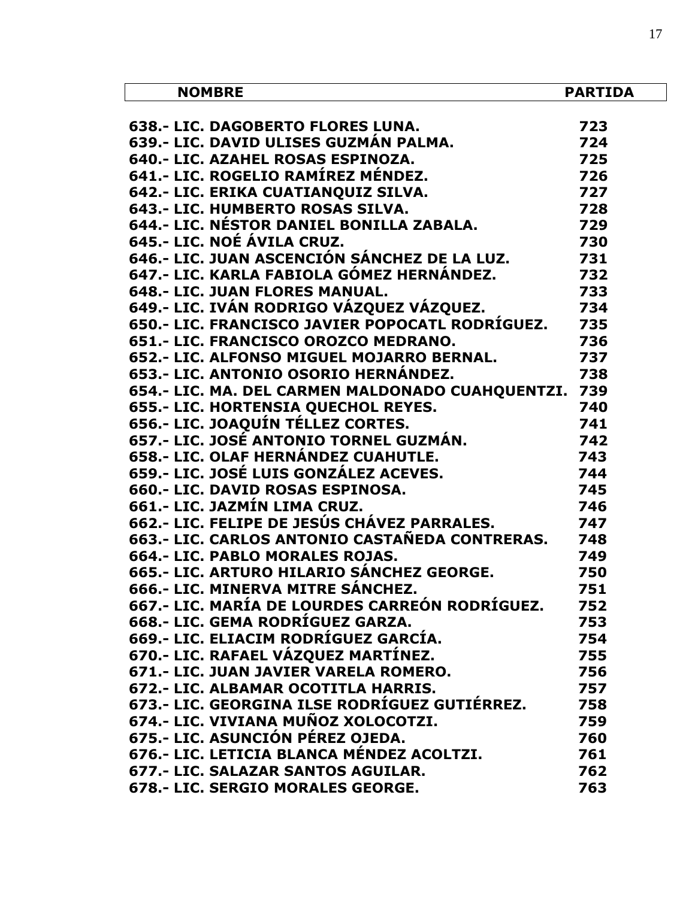| <b>NOMBRE</b>                                                                                                       | <b>PARTIDA</b> |
|---------------------------------------------------------------------------------------------------------------------|----------------|
|                                                                                                                     |                |
| 030.- LIC. DAGOBERTO FLORES LUNA.<br>639.- LIC. DAVID ULISES GUZMÁN PALMA.                                          | 723            |
|                                                                                                                     | 724            |
| 640 .- LIC. AZAHEL ROSAS ESPINOZA.                                                                                  | 725            |
| 641.- LIC. ROGELIO RAMÍREZ MÉNDEZ.                                                                                  | 726            |
| 642.- LIC. ERIKA CUATIANQUIZ SILVA.                                                                                 | 727            |
| 643.- LIC. HUMBERTO ROSAS SILVA.                                                                                    | 728            |
| 644.- LIC. NÉSTOR DANIEL BONILLA ZABALA.                                                                            | 729            |
| 645.- LIC. NOÉ ÁVILA CRUZ.                                                                                          | 730            |
| 646.- LIC. JUAN ASCENCIÓN SÁNCHEZ DE LA LUZ. 731                                                                    |                |
| 647.- LIC. KARLA FABIOLA GÓMEZ HERNÁNDEZ.                                                                           | 732            |
| 648 .- LIC. JUAN FLORES MANUAL.                                                                                     | 733            |
| 649.- LIC. IVÁN RODRIGO VÁZQUEZ VÁZQUEZ.                                                                            | 734            |
| 650.- LIC. FRANCISCO JAVIER POPOCATL RODRÍGUEZ.                                                                     | 735            |
| 651.- LIC. FRANCISCO OROZCO MEDRANO.                                                                                | 736            |
| 652.- LIC. ALFONSO MIGUEL MOJARRO BERNAL.                                                                           | 737            |
| 653.- LIC. ANTONIO OSORIO HERNÁNDEZ.                                                                                | 738            |
| 654.- LIC. MA. DEL CARMEN MALDONADO CUAHQUENTZI. 739                                                                |                |
|                                                                                                                     | 740            |
|                                                                                                                     | 741            |
| 056.- LIC. JOAQUÍN TÉLLEZ CORTES.<br>657.- LIC. JOSÉ ANTONIO TORNEL GUZMÁN.<br>658.- LIC. OLAF HERNÁNDEZ CUAPULT: - | 742            |
| 743                                                                                                                 |                |
| 659.- LIC. JOSÉ LUIS GONZÁLEZ ACEVES.                                                                               | 744            |
| 660.- LIC. DAVID ROSAS ESPINOSA.                                                                                    | 745            |
| 661.- LIC. JAZMÍN LIMA CRUZ.                                                                                        | 746            |
| 662.- LIC. FELIPE DE JESÚS CHÁVEZ PARRALES.                                                                         | 747            |
| 663.- LIC. CARLOS ANTONIO CASTAÑEDA CONTRERAS.                                                                      | 748            |
| 664 .- LIC. PABLO MORALES ROJAS.                                                                                    | 749            |
| 665.- LIC. ARTURO HILARIO SÁNCHEZ GEORGE.                                                                           | 750            |
| 666.- LIC. MINERVA MITRE SÁNCHEZ.                                                                                   | 751            |
| 667.- LIC. MARÍA DE LOURDES CARREÓN RODRÍGUEZ.                                                                      | 752            |
| 668.- LIC. GEMA RODRÍGUEZ GARZA.                                                                                    | 753            |
| 669.- LIC. ELIACIM RODRÍGUEZ GARCÍA.                                                                                | 754            |
| 670.- LIC. RAFAEL VÁZQUEZ MARTÍNEZ.                                                                                 | 755            |
| 671.- LIC. JUAN JAVIER VARELA ROMERO.                                                                               | 756            |
| 672.- LIC. ALBAMAR OCOTITLA HARRIS.                                                                                 | 757            |
| 673.- LIC. GEORGINA ILSE RODRÍGUEZ GUTIÉRREZ.                                                                       | 758            |
| 674.- LIC. VIVIANA MUÑOZ XOLOCOTZI.                                                                                 | 759            |
| 675.- LIC. ASUNCIÓN PÉREZ OJEDA.                                                                                    | 760            |
| 676.- LIC. LETICIA BLANCA MÉNDEZ ACOLTZI.                                                                           | 761            |
| 677.- LIC. SALAZAR SANTOS AGUILAR.                                                                                  | 762            |
| 678.- LIC. SERGIO MORALES GEORGE.                                                                                   | 763            |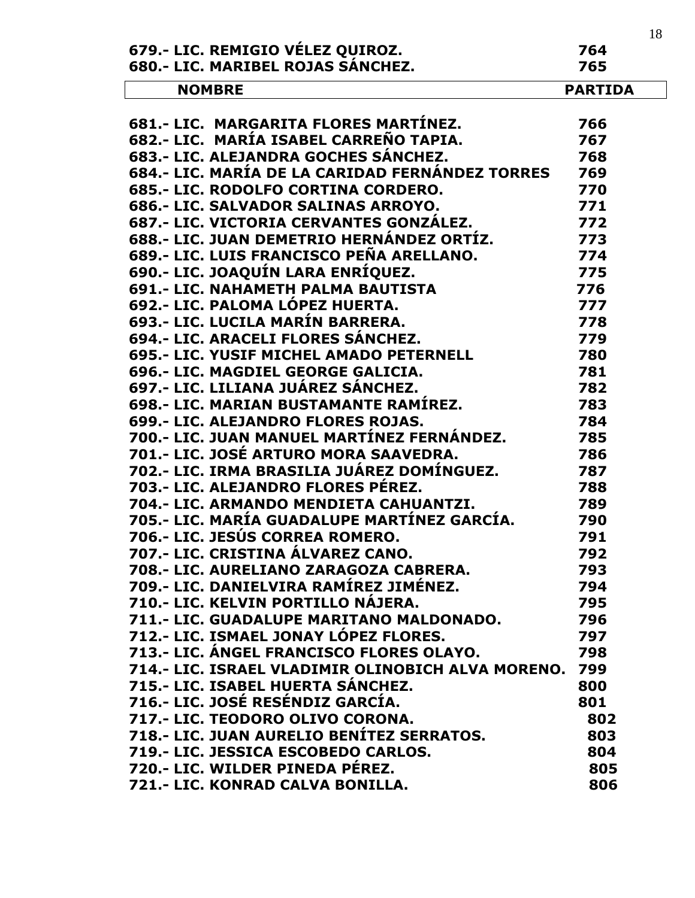|                                                   |                | 18 |
|---------------------------------------------------|----------------|----|
| 679.- LIC. REMIGIO VÉLEZ QUIROZ.                  | 764            |    |
| 680.- LIC. MARIBEL ROJAS SÁNCHEZ.                 | 765            |    |
| <b>NOMBRE</b>                                     | <b>PARTIDA</b> |    |
|                                                   |                |    |
| 681.- LIC. MARGARITA FLORES MARTÍNEZ.             | 766            |    |
| 682.- LIC. MARÍA ISABEL CARREÑO TAPIA.            | 767            |    |
| 683.- LIC. ALEJANDRA GOCHES SÁNCHEZ.              | 768            |    |
| 684.- LIC. MARÍA DE LA CARIDAD FERNÁNDEZ TORRES   | 769            |    |
| 685.- LIC. RODOLFO CORTINA CORDERO.               | 770            |    |
| 686.- LIC. SALVADOR SALINAS ARROYO.               | 771            |    |
| 687.- LIC. VICTORIA CERVANTES GONZÁLEZ.           | 772            |    |
| 688.- LIC. JUAN DEMETRIO HERNÁNDEZ ORTÍZ.         | 773            |    |
| 689.- LIC. LUIS FRANCISCO PEÑA ARELLANO.          | 774            |    |
| 690.- LIC. JOAQUÍN LARA ENRÍQUEZ.                 | 775            |    |
| <b>691.- LIC. NAHAMETH PALMA BAUTISTA</b>         | 776            |    |
| 692.- LIC. PALOMA LÓPEZ HUERTA.                   | 777            |    |
| 693.- LIC. LUCILA MARÍN BARRERA.                  | 778            |    |
| 694.- LIC. ARACELI FLORES SÁNCHEZ.                | 779            |    |
| 695.- LIC. YUSIF MICHEL AMADO PETERNELL           | 780            |    |
| 696.- LIC. MAGDIEL GEORGE GALICIA.                | 781            |    |
| 697.- LIC. LILIANA JUÁREZ SÁNCHEZ.                | 782            |    |
| 698.- LIC. MARIAN BUSTAMANTE RAMÍREZ.             | 783            |    |
| 699.- LIC. ALEJANDRO FLORES ROJAS.                | 784            |    |
| 700.- LIC. JUAN MANUEL MARTÍNEZ FERNÁNDEZ.        | 785            |    |
| 701.- LIC. JOSÉ ARTURO MORA SAAVEDRA.             | 786            |    |
| 702.- LIC. IRMA BRASILIA JUÁREZ DOMÍNGUEZ.        | 787            |    |
| 703.- LIC. ALEJANDRO FLORES PÉREZ.                | 788            |    |
| 704.- LIC. ARMANDO MENDIETA CAHUANTZI.            | 789            |    |
| 705.- LIC. MARÍA GUADALUPE MARTÍNEZ GARCÍA.       | 790            |    |
| 706.- LIC. JESUS CORREA ROMERO.                   | 791            |    |
| 707.- LIC. CRISTINA ÁLVAREZ CANO.                 | 792            |    |
| 708 .- LIC. AURELIANO ZARAGOZA CABRERA.           | 793            |    |
| 709.- LIC. DANIELVIRA RAMÍREZ JIMÉNEZ.            | 794            |    |
| 710.- LIC. KELVIN PORTILLO NÁJERA.                | 795            |    |
| 711.- LIC. GUADALUPE MARITANO MALDONADO.          | 796            |    |
| 712.- LIC. ISMAEL JONAY LÓPEZ FLORES.             | 797            |    |
| 713.- LIC. ÁNGEL FRANCISCO FLORES OLAYO.          | 798            |    |
| 714.- LIC. ISRAEL VLADIMIR OLINOBICH ALVA MORENO. | 799            |    |
| 715.- LIC. ISABEL HUERTA SÁNCHEZ.                 | 800            |    |
| 716.- LIC. JOSÉ RESÉNDIZ GARCÍA.                  | 801            |    |
| 717.- LIC. TEODORO OLIVO CORONA.                  | 802            |    |
| 718.- LIC. JUAN AURELIO BENÍTEZ SERRATOS.         | 803            |    |
| 719.- LIC. JESSICA ESCOBEDO CARLOS.               | 804            |    |
| 720.- LIC. WILDER PINEDA PÉREZ.                   | 805            |    |
| 721.- LIC. KONRAD CALVA BONILLA.                  | 806            |    |
|                                                   |                |    |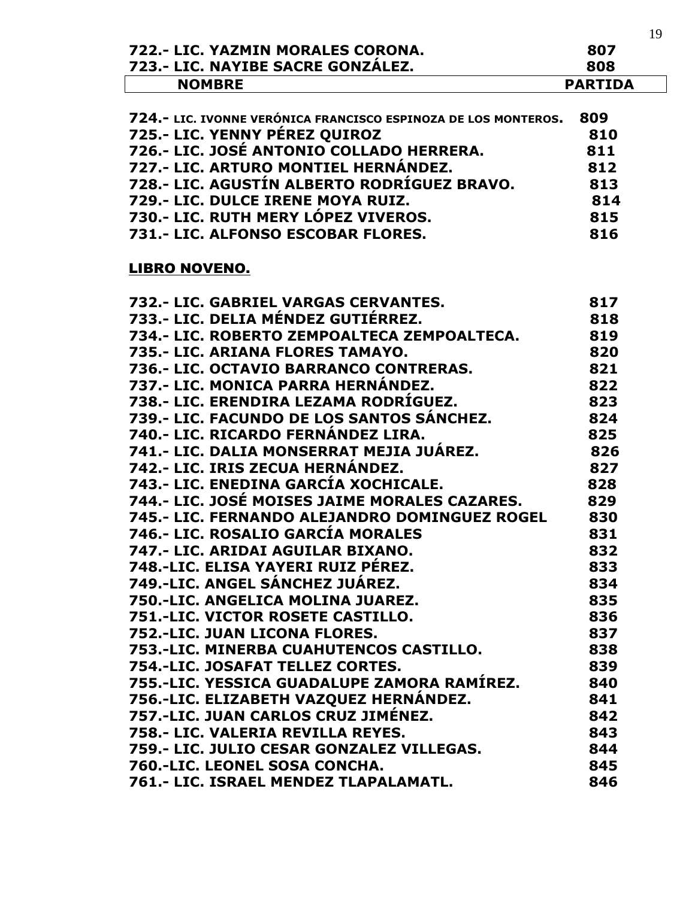| 723.- LIC. NAYIBE SACRE GONZÁLEZ.                              | 807<br>808     |  |
|----------------------------------------------------------------|----------------|--|
| <b>NOMBRE</b>                                                  | <b>PARTIDA</b> |  |
|                                                                |                |  |
| 724.- LIC. IVONNE VERÓNICA FRANCISCO ESPINOZA DE LOS MONTEROS. | 809            |  |
| 725.- LIC. YENNY PÉREZ QUIROZ                                  | 810            |  |
| 726.- LIC. JOSÉ ANTONIO COLLADO HERRERA.                       | 811            |  |
| 727.- LIC. ARTURO MONTIEL HERNÁNDEZ.                           | 812            |  |
| 728.- LIC. AGUSTÍN ALBERTO RODRÍGUEZ BRAVO.                    | 813            |  |
| 729.- LIC. DULCE IRENE MOYA RUIZ.                              | 814            |  |
| 730.- LIC. RUTH MERY LÓPEZ VIVEROS.                            | 815            |  |
| 731.- LIC. ALFONSO ESCOBAR FLORES.                             | 816            |  |
| <b>LIBRO NOVENO.</b>                                           |                |  |
| 732.- LIC. GABRIEL VARGAS CERVANTES.                           | 817            |  |
| 733.- LIC. DELIA MÉNDEZ GUTIÉRREZ.                             | 818            |  |
| 734.- LIC. ROBERTO ZEMPOALTECA ZEMPOALTECA.                    | 819            |  |
| 735.- LIC. ARIANA FLORES TAMAYO.                               | 820            |  |
| 736.- LIC. OCTAVIO BARRANCO CONTRERAS.                         | 821            |  |
| 737.- LIC. MONICA PARRA HERNÁNDEZ.                             | 822            |  |
| 738.- LIC. ERENDIRA LEZAMA RODRÍGUEZ.                          | 823            |  |
| 739.- LIC. FACUNDO DE LOS SANTOS SÁNCHEZ.                      | 824            |  |
| 740.- LIC. RICARDO FERNÁNDEZ LIRA.                             | 825            |  |
| 741.- LIC. DALIA MONSERRAT MEJIA JUÁREZ.                       | 826            |  |
| 742.- LIC. IRIS ZECUA HERNÁNDEZ.                               | 827            |  |
| 743.- LIC. ENEDINA GARCÍA XOCHICALE.                           | 828            |  |
| 744.- LIC. JOSÉ MOISES JAIME MORALES CAZARES.                  | 829            |  |
| 745.- LIC. FERNANDO ALEJANDRO DOMINGUEZ ROGEL                  | 830            |  |
| 746.- LIC. ROSALIO GARCÍA MORALES                              | 831            |  |
| 747.- LIC. ARIDAI AGUILAR BIXANO.                              | 832            |  |
| 748.-LIC. ELISA YAYERI RUIZ PÉREZ.                             | 833            |  |
| 749.-LIC. ANGEL SÁNCHEZ JUÁREZ.                                | 834            |  |
| 750.-LIC. ANGELICA MOLINA JUAREZ.                              | 835            |  |
| 751.-LIC. VICTOR ROSETE CASTILLO.                              | 836            |  |
| 752.-LIC. JUAN LICONA FLORES.                                  | 837            |  |
|                                                                |                |  |
| 753.-LIC. MINERBA CUAHUTENCOS CASTILLO.                        | 838            |  |
| 754.-LIC. JOSAFAT TELLEZ CORTES.                               | 839            |  |
| 755.-LIC. YESSICA GUADALUPE ZAMORA RAMÍREZ.                    | 840            |  |
| 756.-LIC. ELIZABETH VAZQUEZ HERNÁNDEZ.                         | 841            |  |
| 757.-LIC. JUAN CARLOS CRUZ JIMÉNEZ.                            | 842            |  |
| 758.- LIC. VALERIA REVILLA REYES.                              | 843            |  |
| 759.- LIC. JULIO CESAR GONZALEZ VILLEGAS.                      | 844            |  |
| 760.-LIC. LEONEL SOSA CONCHA.                                  | 845            |  |
| 761.- LIC. ISRAEL MENDEZ TLAPALAMATL.                          | 846            |  |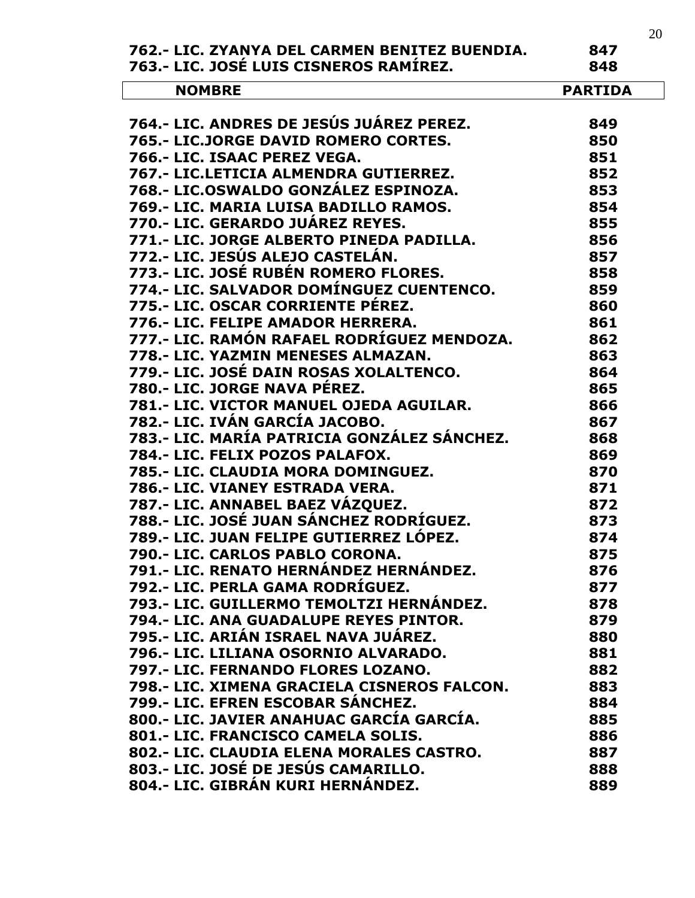|                                               | 20             |
|-----------------------------------------------|----------------|
| 762.- LIC. ZYANYA DEL CARMEN BENITEZ BUENDIA. | 847            |
| 763.- LIC. JOSÉ LUIS CISNEROS RAMÍREZ.        | 848            |
| <b>NOMBRE</b>                                 | <b>PARTIDA</b> |
|                                               |                |
| 764.- LIC. ANDRES DE JESÚS JUÁREZ PEREZ.      | 849            |
| 765.- LIC.JORGE DAVID ROMERO CORTES.          | 850            |
| 766.- LIC. ISAAC PEREZ VEGA.                  | 851            |
| 767.- LIC.LETICIA ALMENDRA GUTIERREZ.         | 852            |
| 768.- LIC.OSWALDO GONZÁLEZ ESPINOZA.          | 853            |
| 769.- LIC. MARIA LUISA BADILLO RAMOS.         | 854            |
| 770.- LIC. GERARDO JUÁREZ REYES.              | 855            |
| 771.- LIC. JORGE ALBERTO PINEDA PADILLA.      | 856            |
| 772.- LIC. JESÚS ALEJO CASTELÁN.              | 857            |
| 773.- LIC. JOSÉ RUBÉN ROMERO FLORES.          | 858            |
| 774.- LIC. SALVADOR DOMÍNGUEZ CUENTENCO.      | 859            |
| 775.- LIC. OSCAR CORRIENTE PÉREZ.             | 860            |
| 776.- LIC. FELIPE AMADOR HERRERA.             | 861            |
| 777.- LIC. RAMÓN RAFAEL RODRÍGUEZ MENDOZA.    | 862            |
| 778.- LIC. YAZMIN MENESES ALMAZAN.            | 863            |
| 779.- LIC. JOSÉ DAIN ROSAS XOLALTENCO.        | 864            |
| 780.- LIC. JORGE NAVA PÉREZ.                  | 865            |
| 781.- LIC. VICTOR MANUEL OJEDA AGUILAR.       | 866            |
| 782.- LIC. IVÁN GARCÍA JACOBO.                | 867            |
| 783.- LIC. MARÍA PATRICIA GONZÁLEZ SÁNCHEZ.   | 868            |
| 784.- LIC. FELIX POZOS PALAFOX.               | 869            |
| 785.- LIC. CLAUDIA MORA DOMINGUEZ.            | 870            |
| 786.- LIC. VIANEY ESTRADA VERA.               | 871            |
| 787.- LIC. ANNABEL BAEZ VÁZQUEZ.              | 872            |
| 788.- LIC. JOSÉ JUAN SÁNCHEZ RODRÍGUEZ.       | 873            |
| 789.- LIC. JUAN FELIPE GUTIERREZ LOPEZ.       | 874            |
| 790.- LIC. CARLOS PABLO CORONA.               | 875            |
| 791.- LIC. RENATO HERNÁNDEZ HERNÁNDEZ.        | 876            |
| 792.- LIC. PERLA GAMA RODRÍGUEZ.              | 877            |
| 793.- LIC. GUILLERMO TEMOLTZI HERNÁNDEZ.      | 878            |
| 794.- LIC. ANA GUADALUPE REYES PINTOR.        | 879            |
| 795.- LIC. ARIÁN ISRAEL NAVA JUÁREZ.          | 880            |
| 796.- LIC. LILIANA OSORNIO ALVARADO.          | 881            |
| 797.- LIC. FERNANDO FLORES LOZANO.            | 882            |
| 798.- LIC. XIMENA GRACIELA CISNEROS FALCON.   | 883            |
| 799.- LIC. EFREN ESCOBAR SÁNCHEZ.             | 884            |
| 800.- LIC. JAVIER ANAHUAC GARCÍA GARCÍA.      | 885            |
| 801.- LIC. FRANCISCO CAMELA SOLIS.            | 886            |
| 802.- LIC. CLAUDIA ELENA MORALES CASTRO.      | 887            |
| 803.- LIC. JOSÉ DE JESÚS CAMARILLO.           | 888            |
| 804.- LIC. GIBRÁN KURI HERNÁNDEZ.             | 889            |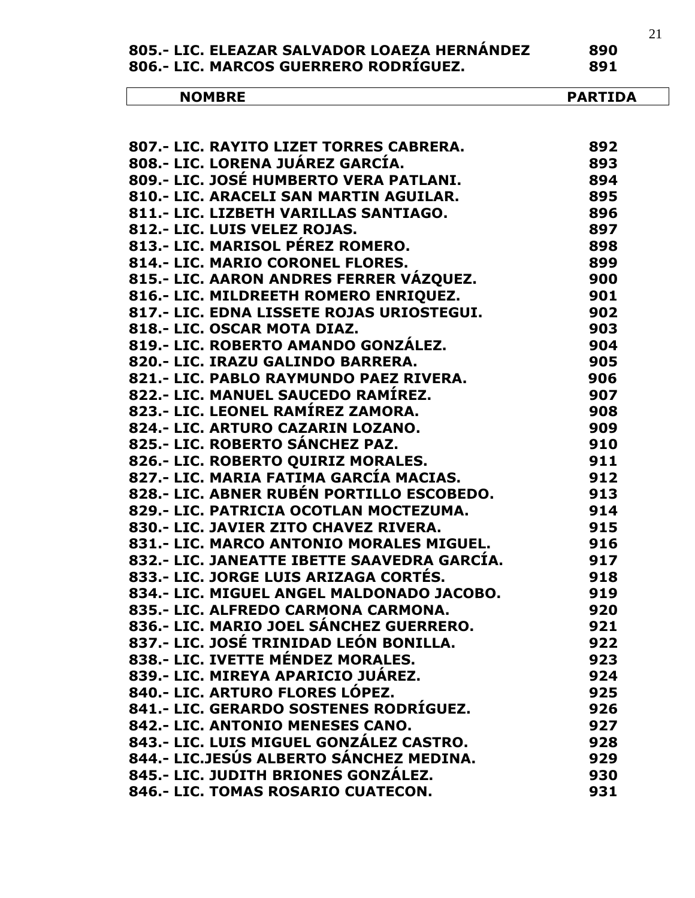| 805.- LIC. ELEAZAR SALVADOR LOAEZA HERNANDEZ | 890 |
|----------------------------------------------|-----|
| 806.- LIC. MARCOS GUERRERO RODRIGUEZ.        | 891 |

| N <sub>(</sub><br>…, …<br>. . <del>.</del> | <br>. .<br>- -<br>,,,<br>. . |
|--------------------------------------------|------------------------------|
|                                            |                              |

 $\overline{a}$ 

| 807 .- LIC. RAYITO LIZET TORRES CABRERA.    | 892 |
|---------------------------------------------|-----|
| 808.- LIC. LORENA JUÁREZ GARCÍA.            | 893 |
| 809.- LIC. JOSÉ HUMBERTO VERA PATLANI.      | 894 |
| 810.- LIC. ARACELI SAN MARTIN AGUILAR.      | 895 |
| 811.- LIC. LIZBETH VARILLAS SANTIAGO.       | 896 |
| 812.- LIC. LUIS VELEZ ROJAS.                | 897 |
| 813.- LIC. MARISOL PÉREZ ROMERO.            | 898 |
| 814.- LIC. MARIO CORONEL FLORES.            | 899 |
| 815.- LIC. AARON ANDRES FERRER VÁZQUEZ.     | 900 |
| 816.- LIC. MILDREETH ROMERO ENRIQUEZ.       | 901 |
| 817.- LIC. EDNA LISSETE ROJAS URIOSTEGUI.   | 902 |
| 818.- LIC. OSCAR MOTA DIAZ.                 | 903 |
| 819.- LIC. ROBERTO AMANDO GONZALEZ.         | 904 |
| 820.- LIC. IRAZU GALINDO BARRERA.           | 905 |
| 821.- LIC. PABLO RAYMUNDO PAEZ RIVERA.      | 906 |
| 822.- LIC. MANUEL SAUCEDO RAMÍREZ.          | 907 |
| 823.- LIC. LEONEL RAMÍREZ ZAMORA.           | 908 |
| 824.- LIC. ARTURO CAZARIN LOZANO.           | 909 |
| 825.- LIC. ROBERTO SÁNCHEZ PAZ.             | 910 |
| 826.- LIC. ROBERTO QUIRIZ MORALES.          | 911 |
| 827.- LIC. MARIA FATIMA GARCÍA MACIAS.      | 912 |
| 828.- LIC. ABNER RUBÉN PORTILLO ESCOBEDO.   | 913 |
| 829.- LIC. PATRICIA OCOTLAN MOCTEZUMA.      | 914 |
| 830.- LIC. JAVIER ZITO CHAVEZ RIVERA.       | 915 |
| 831.- LIC. MARCO ANTONIO MORALES MIGUEL.    | 916 |
| 832.- LIC. JANEATTE IBETTE SAAVEDRA GARCÍA. | 917 |
| 833.- LIC. JORGE LUIS ARIZAGA CORTÉS.       | 918 |
| 834.- LIC. MIGUEL ANGEL MALDONADO JACOBO.   | 919 |
| 835.- LIC. ALFREDO CARMONA CARMONA.         | 920 |
| 836.- LIC. MARIO JOEL SÁNCHEZ GUERRERO.     | 921 |
| 837.- LIC. JOSÉ TRINIDAD LEÓN BONILLA.      | 922 |
| 838.- LIC. IVETTE MÉNDEZ MORALES.           | 923 |
| 839.- LIC. MIREYA APARICIO JUÁREZ.          | 924 |
| 840.- LIC. ARTURO FLORES LÓPEZ.             | 925 |
| 841.- LIC. GERARDO SOSTENES RODRÍGUEZ.      | 926 |
| 842.- LIC. ANTONIO MENESES CANO.            | 927 |
| 843.- LIC. LUIS MIGUEL GONZÁLEZ CASTRO.     | 928 |
| 844.- LIC.JESÚS ALBERTO SÁNCHEZ MEDINA.     | 929 |
| 845.- LIC. JUDITH BRIONES GONZÁLEZ.         | 930 |
| 846.- LIC. TOMAS ROSARIO CUATECON.          | 931 |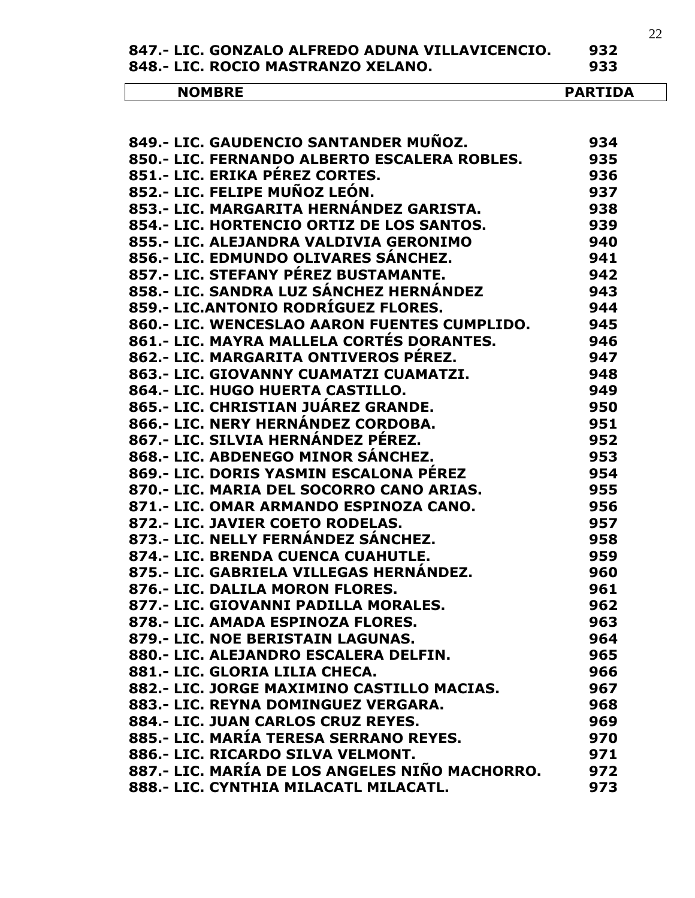**847.- LIC. GONZALO ALFREDO ADUNA VILLAVICENCIO. 932**

848.- LIC. ROCIO MASTRANZO XELANO.

| <b>NOMBRE</b> | $\cdots$ then $\cdots$<br>DЛ<br>ס.<br>1.DA<br>AKI |
|---------------|---------------------------------------------------|
|---------------|---------------------------------------------------|

| 849.- LIC. GAUDENCIO SANTANDER MUÑOZ.          | 934 |
|------------------------------------------------|-----|
| 850.- LIC. FERNANDO ALBERTO ESCALERA ROBLES.   | 935 |
| 851.- LIC. ERIKA PÉREZ CORTES.                 | 936 |
| 852.- LIC. FELIPE MUÑOZ LEÓN.                  | 937 |
| 853.- LIC. MARGARITA HERNÁNDEZ GARISTA.        | 938 |
| 854.- LIC. HORTENCIO ORTIZ DE LOS SANTOS.      | 939 |
| 855.- LIC. ALEJANDRA VALDIVIA GERONIMO         | 940 |
| 856.- LIC. EDMUNDO OLIVARES SÁNCHEZ.           | 941 |
| 857.- LIC. STEFANY PÉREZ BUSTAMANTE.           | 942 |
| 858.- LIC. SANDRA LUZ SÁNCHEZ HERNÁNDEZ        | 943 |
| 859.- LIC.ANTONIO RODRÍGUEZ FLORES.            | 944 |
| 860.- LIC. WENCESLAO AARON FUENTES CUMPLIDO.   | 945 |
| 861.- LIC. MAYRA MALLELA CORTÉS DORANTES.      | 946 |
| 862.- LIC. MARGARITA ONTIVEROS PEREZ.          | 947 |
| 863.- LIC. GIOVANNY CUAMATZI CUAMATZI.         | 948 |
| 864 .- LIC. HUGO HUERTA CASTILLO.              | 949 |
| 865.- LIC. CHRISTIAN JUÁREZ GRANDE.            | 950 |
| 866.- LIC. NERY HERNÁNDEZ CORDOBA.             | 951 |
| 867.- LIC. SILVIA HERNÁNDEZ PÉREZ.             | 952 |
| 868.- LIC. ABDENEGO MINOR SÁNCHEZ.             | 953 |
| 869.- LIC. DORIS YASMIN ESCALONA PÉREZ         | 954 |
| 870.- LIC. MARIA DEL SOCORRO CANO ARIAS.       | 955 |
| 871.- LIC. OMAR ARMANDO ESPINOZA CANO.         | 956 |
| 872.- LIC. JAVIER COETO RODELAS.               | 957 |
| 873.- LIC. NELLY FERNÁNDEZ SÁNCHEZ.            | 958 |
| 874.- LIC. BRENDA CUENCA CUAHUTLE.             | 959 |
| 875.- LIC. GABRIELA VILLEGAS HERNÁNDEZ.        | 960 |
| 876 .- LIC. DALILA MORON FLORES.               | 961 |
| 877.- LIC. GIOVANNI PADILLA MORALES.           | 962 |
| 878.- LIC. AMADA ESPINOZA FLORES.              | 963 |
| 879.- LIC. NOE BERISTAIN LAGUNAS.              | 964 |
| 880.- LIC. ALEJANDRO ESCALERA DELFIN.          | 965 |
| 881.- LIC. GLORIA LILIA CHECA.                 | 966 |
| 882.- LIC. JORGE MAXIMINO CASTILLO MACIAS.     | 967 |
| 883.- LIC. REYNA DOMINGUEZ VERGARA.            | 968 |
| 884 .- LIC. JUAN CARLOS CRUZ REYES.            | 969 |
| 885.- LIC. MARÍA TERESA SERRANO REYES.         | 970 |
| 886.- LIC. RICARDO SILVA VELMONT.              | 971 |
| 887.- LIC. MARÍA DE LOS ANGELES NIÑO MACHORRO. | 972 |
| 888.- LIC. CYNTHIA MILACATL MILACATL.          | 973 |
|                                                |     |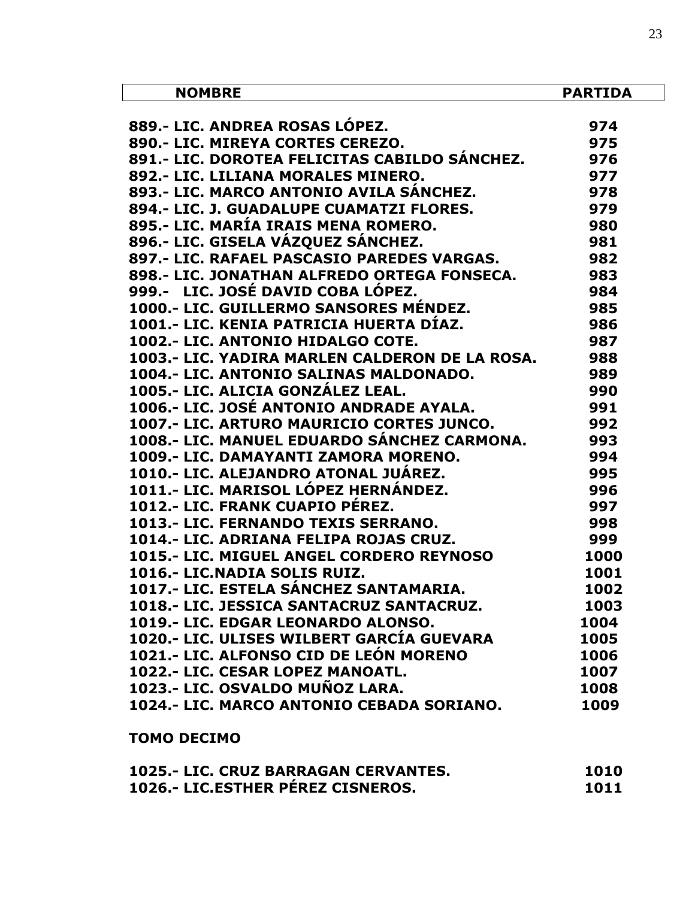| <b>NOMBRE</b>                                   | <b>PARTIDA</b> |
|-------------------------------------------------|----------------|
|                                                 |                |
| 889 - LIC. ANDREA ROSAS LOPEZ.                  | 974            |
| 890.- LIC. MIREYA CORTES CEREZO.                | 975            |
| 891.- LIC. DOROTEA FELICITAS CABILDO SÁNCHEZ.   | 976            |
| 892.- LIC. LILIANA MORALES MINERO.              | 977            |
| 893.- LIC. MARCO ANTONIO AVILA SÁNCHEZ.         | 978            |
| 894.- LIC. J. GUADALUPE CUAMATZI FLORES.        | 979            |
| 895.- LIC. MARÍA IRAIS MENA ROMERO.             | 980            |
| 896.- LIC. GISELA VÁZQUEZ SÁNCHEZ.              | 981            |
| 897.- LIC. RAFAEL PASCASIO PAREDES VARGAS.      | 982            |
| 898.- LIC. JONATHAN ALFREDO ORTEGA FONSECA.     | 983            |
| 999.- LIC. JOSÉ DAVID COBA LÓPEZ.               | 984            |
| 1000.- LIC. GUILLERMO SANSORES MÉNDEZ.          | 985            |
| 1001.- LIC. KENIA PATRICIA HUERTA DÍAZ.         | 986            |
| 1002.- LIC. ANTONIO HIDALGO COTE.               | 987            |
| 1003.- LIC. YADIRA MARLEN CALDERON DE LA ROSA.  | 988            |
| 1004.- LIC. ANTONIO SALINAS MALDONADO.          | 989            |
| 1005.- LIC. ALICIA GONZÁLEZ LEAL.               | 990            |
| 1006.- LIC. JOSÉ ANTONIO ANDRADE AYALA.         | 991            |
| 1007.- LIC. ARTURO MAURICIO CORTES JUNCO.       | 992            |
| 1008.- LIC. MANUEL EDUARDO SÁNCHEZ CARMONA.     | 993            |
| 1009.- LIC. DAMAYANTI ZAMORA MORENO.            | 994            |
| 1010.- LIC. ALEJANDRO ATONAL JUÁREZ.            | 995            |
| 1011.- LIC. MARISOL LÓPEZ HERNÁNDEZ.            | 996            |
| 1012.- LIC. FRANK CUAPIO PÉREZ.                 | 997            |
| 1013.- LIC. FERNANDO TEXIS SERRANO.             | 998            |
| 1014.- LIC. ADRIANA FELIPA ROJAS CRUZ.          | 999            |
| <b>1015.- LIC. MIGUEL ANGEL CORDERO REYNOSO</b> | 1000           |
| 1016.- LIC.NADIA SOLIS RUIZ.                    | 1001           |
| 1017.- LIC. ESTELA SÁNCHEZ SANTAMARIA.          | 1002           |
| 1018.- LIC. JESSICA SANTACRUZ SANTACRUZ.        | 1003           |
| 1019.- LIC. EDGAR LEONARDO ALONSO.              | 1004           |
| 1020.- LIC. ULISES WILBERT GARCÍA GUEVARA       | 1005           |
| 1021.- LIC. ALFONSO CID DE LEÓN MORENO          | 1006           |
| 1022.- LIC. CESAR LOPEZ MANOATL.                | 1007           |
| 1023.- LIC. OSVALDO MUÑOZ LARA.                 | 1008           |
| 1024.- LIC. MARCO ANTONIO CEBADA SORIANO.       | 1009           |
| <b>TOMO DECIMO</b>                              |                |

| 1025.- LIC. CRUZ BARRAGAN CERVANTES.     | 1010 |
|------------------------------------------|------|
| <b>1026.- LIC.ESTHER PEREZ CISNEROS.</b> | 1011 |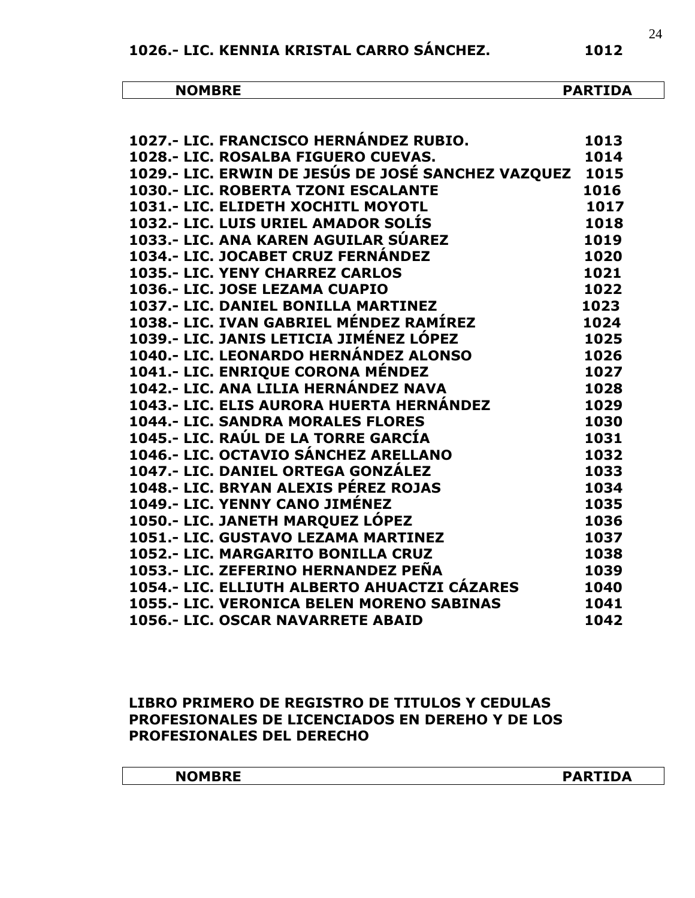| NOM <sup>-</sup><br>…… | TDA.<br>. .<br>.<br>,,, |
|------------------------|-------------------------|

| 1027.- LIC. FRANCISCO HERNÁNDEZ RUBIO.<br>1929. LIG ROGALEA TIGULIA GUIDLEZ | 1013 |
|-----------------------------------------------------------------------------|------|
| 1028 .- LIC. ROSALBA FIGUERO CUEVAS.                                        | 1014 |
| 1029.- LIC. ERWIN DE JESÚS DE JOSÉ SANCHEZ VAZQUEZ                          | 1015 |
| 1030.- LIC. ROBERTA TZONI ESCALANTE                                         | 1016 |
| 1031.- LIC. ELIDETH XOCHITL MOYOTL                                          | 1017 |
| 1032.- LIC. LUIS URIEL AMADOR SOLIS                                         | 1018 |
| 1033.- LIC. ANA KAREN AGUILAR SÚAREZ                                        | 1019 |
| 1034.- LIC. JOCABET CRUZ FERNÁNDEZ                                          | 1020 |
| <b>1035.- LIC. YENY CHARREZ CARLOS</b>                                      | 1021 |
| 1036.- LIC. JOSE LEZAMA CUAPIO                                              | 1022 |
| 1037.- LIC. DANIEL BONILLA MARTINEZ                                         | 1023 |
| 1038.- LIC. IVAN GABRIEL MÉNDEZ RAMÍREZ                                     | 1024 |
| 1039.- LIC. JANIS LETICIA JIMÉNEZ LÓPEZ                                     | 1025 |
| 1040.- LIC. LEONARDO HERNÁNDEZ ALONSO                                       | 1026 |
| 1041.- LIC. ENRIQUE CORONA MÉNDEZ                                           | 1027 |
| 1042.- LIC. ANA LILIA HERNÁNDEZ NAVA                                        | 1028 |
| 1043.- LIC. ELIS AURORA HUERTA HERNÁNDEZ                                    | 1029 |
| <b>1044.- LIC. SANDRA MORALES FLORES</b>                                    | 1030 |
| 1045.- LIC. RAÚL DE LA TORRE GARCÍA                                         | 1031 |
| 1046.- LIC. OCTAVIO SÁNCHEZ ARELLANO                                        | 1032 |
| 1047.- LIC. DANIEL ORTEGA GONZÁLEZ                                          | 1033 |
| 1048.- LIC. BRYAN ALEXIS PÉREZ ROJAS                                        | 1034 |
| 1049.- LIC. YENNY CANO JIMÉNEZ                                              | 1035 |
| 1050.- LIC. JANETH MARQUEZ LÓPEZ                                            | 1036 |
| 1051.- LIC. GUSTAVO LEZAMA MARTINEZ                                         | 1037 |
| 1052.- LIC. MARGARITO BONILLA CRUZ                                          | 1038 |
| 1053.- LIC. ZEFERINO HERNANDEZ PEÑA                                         | 1039 |
| 1054.- LIC. ELLIUTH ALBERTO AHUACTZI CÁZARES                                | 1040 |
| 1055.- LIC. VERONICA BELEN MORENO SABINAS                                   | 1041 |
| 1056.- LIC. OSCAR NAVARRETE ABAID                                           | 1042 |

#### **LIBRO PRIMERO DE REGISTRO DE TITULOS Y CEDULAS PROFESIONALES DE LICENCIADOS EN DEREHO Y DE LOS PROFESIONALES DEL DERECHO**

| <b>NOMBRE</b> | <b>PARTIDA</b><br>AR' |
|---------------|-----------------------|
|               |                       |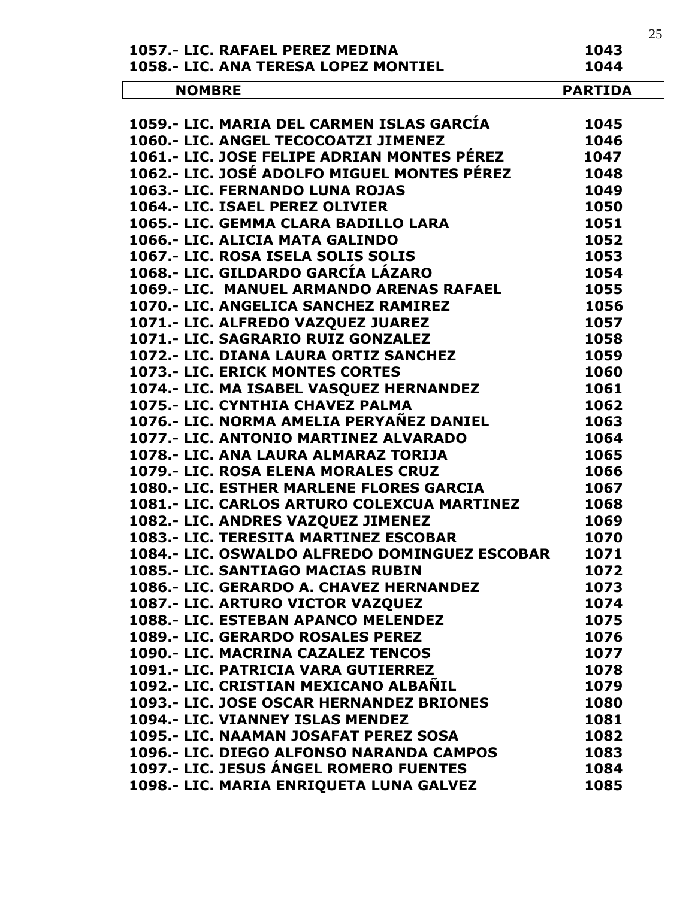|                                                 | 25             |
|-------------------------------------------------|----------------|
| 1057.- LIC. RAFAEL PEREZ MEDINA                 | 1043           |
| 1058.- LIC. ANA TERESA LOPEZ MONTIEL            | 1044           |
| <b>NOMBRE</b>                                   | <b>PARTIDA</b> |
|                                                 |                |
| 1059.- LIC. MARIA DEL CARMEN ISLAS GARCÍA       | 1045           |
| 1060.- LIC. ANGEL TECOCOATZI JIMENEZ            | 1046           |
| 1061.- LIC. JOSE FELIPE ADRIAN MONTES PÉREZ     | 1047           |
| 1062.- LIC. JOSÉ ADOLFO MIGUEL MONTES PÉREZ     | 1048           |
| 1063.- LIC. FERNANDO LUNA ROJAS                 | 1049           |
| 1064.- LIC. ISAEL PEREZ OLIVIER                 | 1050           |
| 1065.- LIC. GEMMA CLARA BADILLO LARA            | 1051           |
| 1066.- LIC. ALICIA MATA GALINDO                 | 1052           |
| 1067.- LIC. ROSA ISELA SOLIS SOLIS              | 1053           |
| 1068.- LIC. GILDARDO GARCÍA LÁZARO              | 1054           |
| 1069.- LIC. MANUEL ARMANDO ARENAS RAFAEL        | 1055           |
| 1070.- LIC. ANGELICA SANCHEZ RAMIREZ            | 1056           |
| 1071.- LIC. ALFREDO VAZQUEZ JUAREZ              | 1057           |
| 1071.- LIC. SAGRARIO RUIZ GONZALEZ              | 1058           |
| 1072.- LIC. DIANA LAURA ORTIZ SANCHEZ           | 1059           |
| 1073.- LIC. ERICK MONTES CORTES                 | 1060           |
| 1074.- LIC. MA ISABEL VASQUEZ HERNANDEZ         | 1061           |
| 1075.- LIC. CYNTHIA CHAVEZ PALMA                | 1062           |
| 1076.- LIC. NORMA AMELIA PERYAÑEZ DANIEL        | 1063           |
| 1077.- LIC. ANTONIO MARTINEZ ALVARADO           | 1064           |
| 1078.- LIC. ANA LAURA ALMARAZ TORIJA            | 1065           |
| 1079.- LIC. ROSA ELENA MORALES CRUZ             | 1066           |
| 1080.- LIC. ESTHER MARLENE FLORES GARCIA        | 1067           |
| 1081.- LIC. CARLOS ARTURO COLEXCUA MARTINEZ     | 1068           |
| 1082.- LIC. ANDRES VAZQUEZ JIMENEZ              | 1069           |
| 1083.- LIC. TERESITA MARTINEZ ESCOBAR           | 1070           |
| 1084.- LIC. OSWALDO ALFREDO DOMINGUEZ ESCOBAR   | 1071           |
| 1085.- LIC. SANTIAGO MACIAS RUBIN               | 1072           |
| 1086.- LIC. GERARDO A. CHAVEZ HERNANDEZ         | 1073           |
| 1087.- LIC. ARTURO VICTOR VAZQUEZ               | 1074           |
| 1088.- LIC. ESTEBAN APANCO MELENDEZ             | 1075           |
| 1089.- LIC. GERARDO ROSALES PEREZ               | 1076           |
| 1090.- LIC. MACRINA CAZALEZ TENCOS              | 1077           |
| 1091.- LIC. PATRICIA VARA GUTIERREZ             | 1078           |
| 1092.- LIC. CRISTIAN MEXICANO ALBAÑIL           | 1079           |
| <b>1093.- LIC. JOSE OSCAR HERNANDEZ BRIONES</b> | 1080           |
| 1094.- LIC. VIANNEY ISLAS MENDEZ                | 1081           |
| 1095.- LIC. NAAMAN JOSAFAT PEREZ SOSA           | 1082           |
| 1096.- LIC. DIEGO ALFONSO NARANDA CAMPOS        | 1083           |
| 1097.- LIC. JESUS ÁNGEL ROMERO FUENTES          | 1084           |
| 1098.- LIC. MARIA ENRIQUETA LUNA GALVEZ         | 1085           |
|                                                 |                |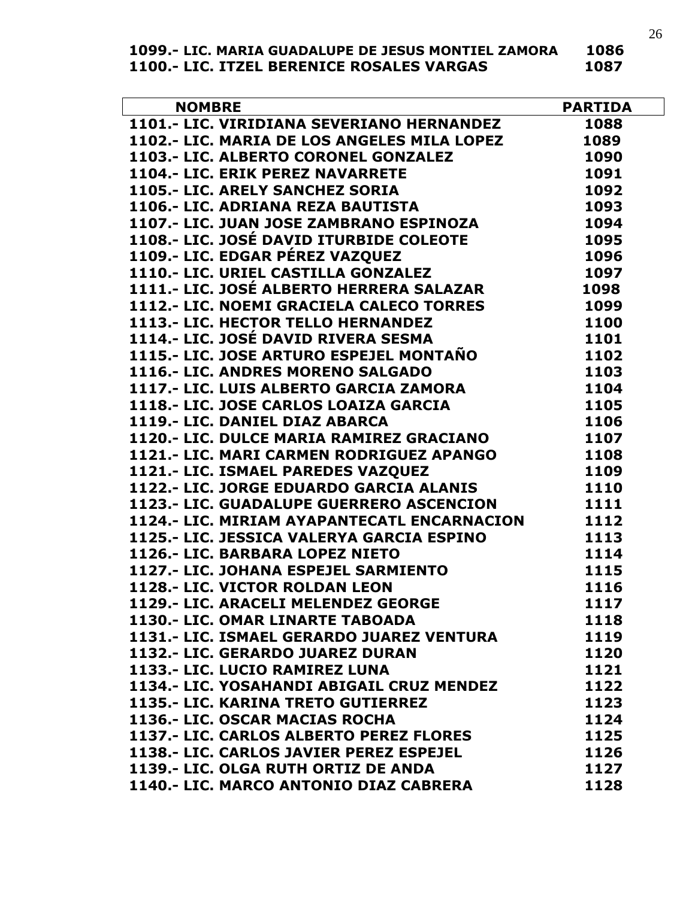| 1099.- LIC. MARIA GUADALUPE DE JESUS MONTIEL ZAMORA | 1086 |
|-----------------------------------------------------|------|
| 1100.- LIC. ITZEL BERENICE ROSALES VARGAS           | 1087 |

| <b>NOMBRE</b>                                       | <b>PARTIDA</b> |
|-----------------------------------------------------|----------------|
| NOMBRE<br>1101.- LIC. VIRIDIANA SEVERIANO HERNANDEZ | 1088           |
| 1102.- LIC. MARIA DE LOS ANGELES MILA LOPEZ         | 1089           |
| 1103.- LIC. ALBERTO CORONEL GONZALEZ                | 1090           |
| 1104.- LIC. ERIK PEREZ NAVARRETE                    | 1091           |
| 1105.- LIC. ARELY SANCHEZ SORIA                     | 1092           |
| 1106.- LIC. ADRIANA REZA BAUTISTA                   | 1093           |
| 1107.- LIC. JUAN JOSE ZAMBRANO ESPINOZA             | 1094           |
| 1108.- LIC. JOSÉ DAVID ITURBIDE COLEOTE             | 1095           |
| 1109.- LIC. EDGAR PÉREZ VAZQUEZ                     | 1096           |
| 1110.- LIC. URIEL CASTILLA GONZALEZ                 | 1097           |
| 1111.- LIC. JOSÉ ALBERTO HERRERA SALAZAR            | 1098           |
| 1112.- LIC. NOEMI GRACIELA CALECO TORRES            | 1099           |
| 1113.- LIC. HECTOR TELLO HERNANDEZ                  | 1100           |
| 1114.- LIC. JOSÉ DAVID RIVERA SESMA                 | 1101           |
| 1115.- LIC. JOSE ARTURO ESPEJEL MONTAÑO             | 1102           |
| 1116.- LIC. ANDRES MORENO SALGADO                   | 1103           |
| 1117.- LIC. LUIS ALBERTO GARCIA ZAMORA              | 1104           |
| 1118.- LIC. JOSE CARLOS LOAIZA GARCIA               | 1105           |
| 1119.- LIC. DANIEL DIAZ ABARCA                      | 1106           |
| 1120.- LIC. DULCE MARIA RAMIREZ GRACIANO            | 1107           |
| 1121.- LIC. MARI CARMEN RODRIGUEZ APANGO            | 1108           |
| 1121 .- LIC. ISMAEL PAREDES VAZQUEZ                 | 1109           |
| 1122.- LIC. JORGE EDUARDO GARCIA ALANIS             | 1110           |
| 1123.- LIC. GUADALUPE GUERRERO ASCENCION            | 1111           |
| 1124.- LIC. MIRIAM AYAPANTECATL ENCARNACION         | 1112           |
| 1125.- LIC. JESSICA VALERYA GARCIA ESPINO           | 1113           |
| 1126.- LIC. BARBARA LOPEZ NIETO                     | 1114           |
| 1127.- LIC. JOHANA ESPEJEL SARMIENTO                | 1115           |
| 1128 .- LIC. VICTOR ROLDAN LEON                     | 1116           |
| 1129.- LIC. ARACELI MELENDEZ GEORGE                 | 1117           |
| 1130.- LIC. OMAR LINARTE TABOADA                    | 1118           |
| 1131.- LIC. ISMAEL GERARDO JUAREZ VENTURA           | 1119           |
| 1132.- LIC. GERARDO JUAREZ DURAN                    | 1120           |
| 1133.- LIC. LUCIO RAMIREZ LUNA                      | 1121           |
| 1134.- LIC. YOSAHANDI ABIGAIL CRUZ MENDEZ           | 1122           |
| 1135.- LIC. KARINA TRETO GUTIERREZ                  | 1123           |
| 1136.- LIC. OSCAR MACIAS ROCHA                      | 1124           |
| 1137.- LIC. CARLOS ALBERTO PEREZ FLORES             | 1125           |
| 1138.- LIC. CARLOS JAVIER PEREZ ESPEJEL             | 1126           |
| 1139.- LIC. OLGA RUTH ORTIZ DE ANDA                 | 1127           |
| 1140.- LIC. MARCO ANTONIO DIAZ CABRERA              | 1128           |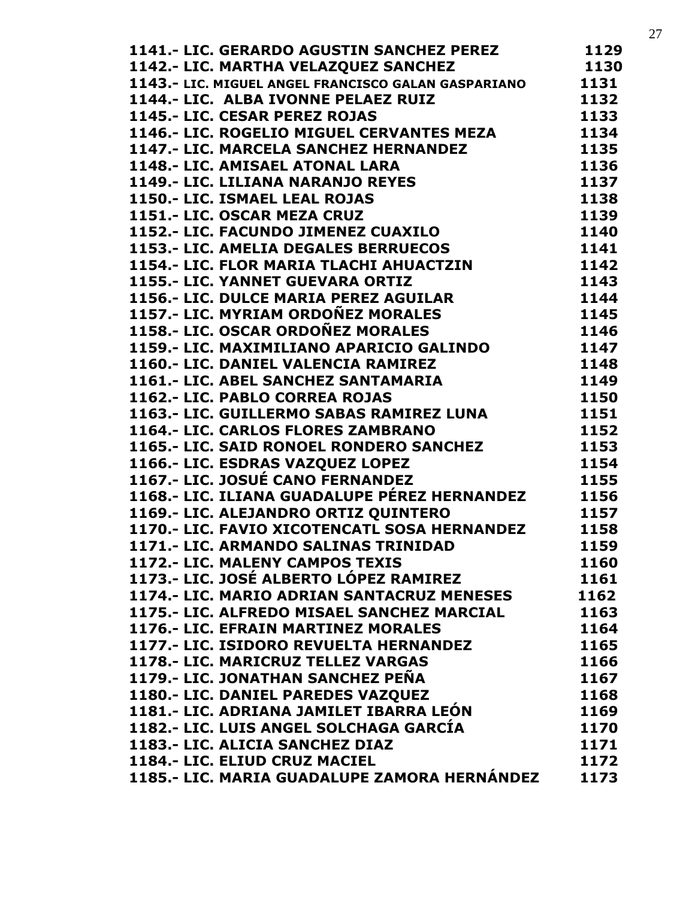| 1141.- LIC. GERARDO AGUSTIN SANCHEZ PEREZ           | 1129 |
|-----------------------------------------------------|------|
| 1142.- LIC. MARTHA VELAZQUEZ SANCHEZ                | 1130 |
| 1174.- LIV. MIGUEL ANGEL FRANCISCO GALAN GASPARIANO | 1131 |
| 1144.- LIC. ALBA IVONNE PELAEZ RUIZ                 | 1132 |
| 1145.- LIC. CESAR PEREZ ROJAS                       | 1133 |
| 1146.- LIC. ROGELIO MIGUEL CERVANTES MEZA           | 1134 |
| 1147.- LIC. MARCELA SANCHEZ HERNANDEZ               | 1135 |
| 1148.- LIC. AMISAEL ATONAL LARA                     | 1136 |
| 1149.- LIC. LILIANA NARANJO REYES                   | 1137 |
| 1150.- LIC. ISMAEL LEAL ROJAS                       | 1138 |
| 1151.- LIC. OSCAR MEZA CRUZ                         | 1139 |
| 1152.- LIC. FACUNDO JIMENEZ CUAXILO                 | 1140 |
| 1153.- LIC. AMELIA DEGALES BERRUECOS                | 1141 |
| 1154.- LIC. FLOR MARIA TLACHI AHUACTZIN             | 1142 |
| 1155.- LIC. YANNET GUEVARA ORTIZ                    | 1143 |
| 1156.- LIC. DULCE MARIA PEREZ AGUILAR               | 1144 |
| 1157.- LIC. MYRIAM ORDOÑEZ MORALES                  | 1145 |
| 1158.- LIC. OSCAR ORDOÑEZ MORALES                   | 1146 |
| 1159.- LIC. MAXIMILIANO APARICIO GALINDO            | 1147 |
| 1160.- LIC. DANIEL VALENCIA RAMIREZ                 | 1148 |
| 1161.- LIC. ABEL SANCHEZ SANTAMARIA                 | 1149 |
| 1162.- LIC. PABLO CORREA ROJAS                      | 1150 |
| 1163.- LIC. GUILLERMO SABAS RAMIREZ LUNA            | 1151 |
| 1164.- LIC. CARLOS FLORES ZAMBRANO                  | 1152 |
| 1165.- LIC. SAID RONOEL RONDERO SANCHEZ             | 1153 |
| 1166.- LIC. ESDRAS VAZQUEZ LOPEZ                    | 1154 |
| 1167.- LIC. JOSUÉ CANO FERNANDEZ                    | 1155 |
| 1168.- LIC. ILIANA GUADALUPE PÉREZ HERNANDEZ        | 1156 |
| 1169.- LIC. ALEJANDRO ORTIZ QUINTERO                | 1157 |
| 1170.- LIC. FAVIO XICOTENCATL SOSA HERNANDEZ        | 1158 |
| 1171.- LIC. ARMANDO SALINAS TRINIDAD                | 1159 |
| 1172.- LIC. MALENY CAMPOS TEXIS                     | 1160 |
| 1173.- LIC. JOSÉ ALBERTO LÓPEZ RAMIREZ              | 1161 |
| 1174.- LIC. MARIO ADRIAN SANTACRUZ MENESES          | 1162 |
| 1175.- LIC. ALFREDO MISAEL SANCHEZ MARCIAL          | 1163 |
| 1176.- LIC. EFRAIN MARTINEZ MORALES                 | 1164 |
| 1177.- LIC. ISIDORO REVUELTA HERNANDEZ              | 1165 |
| 1178.- LIC. MARICRUZ TELLEZ VARGAS                  | 1166 |
| 1179.- LIC. JONATHAN SANCHEZ PEÑA                   | 1167 |
| 1180.- LIC. DANIEL PAREDES VAZQUEZ                  | 1168 |
| 1181.- LIC. ADRIANA JAMILET IBARRA LEÓN             | 1169 |
| 1182.- LIC. LUIS ANGEL SOLCHAGA GARCIA              | 1170 |
| 1183.- LIC. ALICIA SANCHEZ DIAZ                     | 1171 |
| 1184.- LIC. ELIUD CRUZ MACIEL                       | 1172 |
| 1185.- LIC. MARIA GUADALUPE ZAMORA HERNÁNDEZ        | 1173 |
|                                                     |      |